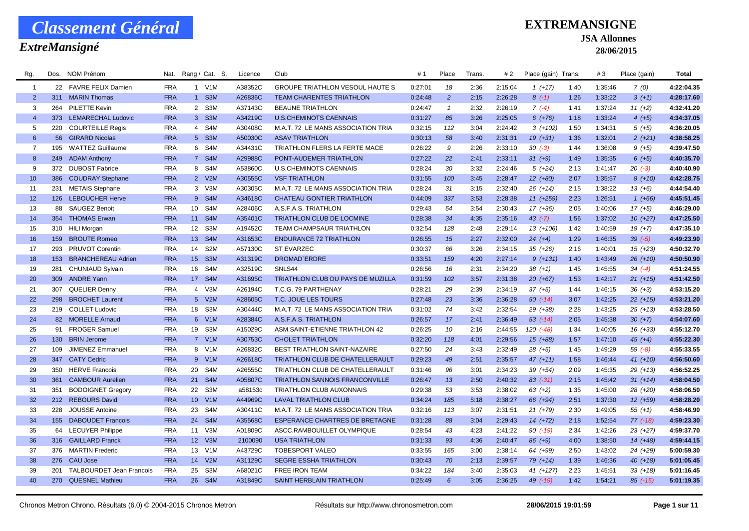### *ExtreMansigné*

### **EXTREMANSIGNE**

#### **JSA Allonnes**

| Rg.            | Dos. | NOM Prénom                | Nat.       |                  | Rang / Cat. S.   | Licence | Club                                     | #1      | Place          | Trans. | # 2     | Place (gain) Trans. |      | #3      | Place (gain) | <b>Total</b> |
|----------------|------|---------------------------|------------|------------------|------------------|---------|------------------------------------------|---------|----------------|--------|---------|---------------------|------|---------|--------------|--------------|
| $\overline{1}$ |      | 22 FAVRE FELIX Damien     | <b>FRA</b> |                  | 1 V1M            | A38352C | <b>GROUPE TRIATHLON VESOUL HAUTE S</b>   | 0:27:01 | 18             | 2:36   | 2:15:04 | $1(+17)$            | 1:40 | 1:35:46 | 7(0)         | 4:22:04.35   |
| 2              | 311  | <b>MARIN Thomas</b>       | <b>FRA</b> | 1                | S <sub>3</sub> M | A26836C | <b>TEAM CHARENTES TRIATHLON</b>          | 0:24:48 | $\overline{2}$ | 2:15   | 2:26:28 | $8(-1)$             | 1:26 | 1:33:22 | $3(+1)$      | 4:28:17.60   |
| 3              | 264  | PILETTE Kevin             | <b>FRA</b> |                  | 2 S3M            | A37143C | <b>BEAUNE TRIATHLON</b>                  | 0:24:47 | $\mathbf{1}$   | 2:32   | 2:26:19 | $7(-4)$             | 1:41 | 1:37:24 | $11 (+2)$    | 4:32:41.20   |
| $\overline{4}$ |      | 373 LEMARECHAL Ludovic    | <b>FRA</b> |                  | 3 S3M            | A34219C | <b>U.S.CHEMINOTS CAENNAIS</b>            | 0:31:27 | 85             | 3:26   | 2:25:05 | $6 (+76)$           | 1:18 | 1:33:24 | $4(+5)$      | 4:34:37.05   |
| 5              | 220  | <b>COURTEILLE Regis</b>   | <b>FRA</b> | $\overline{4}$   | S4M              | A30408C | M.A.T. 72 LE MANS ASSOCIATION TRIA       | 0:32:15 | 112            | 3:04   | 2:24:42 | $3(+102)$           | 1:50 | 1:34:31 | $5(+5)$      | 4:36:20.05   |
| $6\phantom{1}$ |      | 56 GIRARD Nicolas         | <b>FRA</b> |                  | 5 S3M            | A50030C | <b>ASAV TRIATHLON</b>                    | 0:30:13 | 58             | 3:40   | 2:31:31 | $19(+31)$           | 1:36 | 1:32:01 | $2(+21)$     | 4:38:58.25   |
| $\overline{7}$ | 195  | <b>WATTEZ Guillaume</b>   | <b>FRA</b> | 6                | S4M              | A34431C | TRIATHLON FLERS LA FERTE MACE            | 0:26:22 | 9              | 2:26   | 2:33:10 | $30(-3)$            | 1:44 | 1:36:08 | $9(+5)$      | 4:39:47.50   |
| 8              | 249  | <b>ADAM Anthony</b>       | <b>FRA</b> | 7 <sup>7</sup>   | S4M              | A29988C | PONT-AUDEMER TRIATHLON                   | 0:27:22 | 22             | 2:41   | 2:33:11 | $31 (+9)$           | 1:49 | 1:35:35 | $6 (+5)$     | 4:40:35.70   |
| 9              | 372  | <b>DUBOST Fabrice</b>     | <b>FRA</b> | 8                | S4M              | A53860C | <b>U.S.CHEMINOTS CAENNAIS</b>            | 0:28:24 | 30             | 3:32   | 2:24:46 | $5(+24)$            | 2:13 | 1:41:47 | $20( -3)$    | 4:40:40.90   |
| 10             | 386  | <b>COUDRAY Stephane</b>   | <b>FRA</b> |                  | 2 V2M            | A30555C | <b>VSF TRIATHLON</b>                     | 0:31:55 | 100            | 3:45   | 2:28:47 | $12(+80)$           | 2:07 | 1:35:57 | $8(+10)$     | 4:42:28.75   |
| 11             | 231  | <b>METAIS Stephane</b>    | <b>FRA</b> |                  | 3 V3M            | A30305C | M.A.T. 72 LE MANS ASSOCIATION TRIA       | 0:28:24 | 31             | 3:15   | 2:32:40 | $26 (+14)$          | 2:15 | 1:38:22 | $13(+6)$     | 4:44:54.40   |
| 12             |      | 126 LEBOUCHER Herve       | <b>FRA</b> |                  | 9 S4M            | A34618C | <b>CHATEAU GONTIER TRIATHLON</b>         | 0:44:09 | 337            | 3:53   | 2:28:38 | $11 (+259)$         | 2:23 | 1:26:51 | $1(+66)$     | 4:45:51.45   |
| 13             | 88   | <b>SAUGEZ Benoit</b>      | <b>FRA</b> | 10               | S <sub>4</sub> M | A28406C | A.S.F.A.S. TRIATHLON                     | 0:29:43 | 54             | 3:54   | 2:30:43 | $17(+36)$           | 2:05 | 1:40:06 | $17(+5)$     | 4:46:29.00   |
| 14             | 354  | <b>THOMAS Erwan</b>       | <b>FRA</b> | 11               | S4M              | A35401C | TRIATHLON CLUB DE LOCMINE                | 0:28:38 | 34             | 4:35   | 2:35:16 | $43$ $(-7)$         | 1:56 | 1:37:02 | $10(+27)$    | 4:47:25.50   |
| 15             |      | 310 HILI Morgan           | <b>FRA</b> | 12 <sup>12</sup> | S <sub>3</sub> M | A19452C | TEAM CHAMPSAUR TRIATHLON                 | 0:32:54 | 128            | 2:48   | 2:29:14 | $13(+106)$          | 1:42 | 1:40:59 | $19(+7)$     | 4:47:35.10   |
| 16             | 159  | <b>BROUTE Romeo</b>       | <b>FRA</b> | 13 <sup>°</sup>  | S4M              | A31653C | <b>ENDURANCE 72 TRIATHLON</b>            | 0:26:55 | 15             | 2:27   | 2:32:00 | $24 (+4)$           | 1:29 | 1:46:35 | $39(-5)$     | 4:49:23.90   |
| 17             | 293  | PRUVOT Corentin           | <b>FRA</b> | 14               | S <sub>2</sub> M | A57130C | <b>ST EVARZEC</b>                        | 0:30:37 | 66             | 3:26   | 2:34:15 | $35(+26)$           | 2:16 | 1:40:01 | $15(+23)$    | 4:50:32.70   |
| 18             | 153  | <b>BRANCHEREAU Adrien</b> | <b>FRA</b> | 15 <sup>2</sup>  | S <sub>3</sub> M | A31319C | <b>DROMAD'ERDRE</b>                      | 0:33:51 | 159            | 4:20   | 2:27:14 | $9(+131)$           | 1:40 | 1:43:49 | $26(+10)$    | 4:50:50.90   |
| 19             | 281  | <b>CHUNIAUD Sylvain</b>   | <b>FRA</b> | 16               | S <sub>4</sub> M | A32519C | SNLS44                                   | 0:26:56 | 16             | 2:31   | 2:34:20 | $38(+1)$            | 1:45 | 1:45:55 | $34(-4)$     | 4:51:24.55   |
| 20             |      | 309 ANDRE Yann            | <b>FRA</b> |                  | 17 S4M           | A31695C | <b>TRIATHLON CLUB DU PAYS DE MUZILLA</b> | 0:31:59 | 102            | 3:57   | 2:31:38 | $20(+67)$           | 1:53 | 1:42:17 | $21 (+15)$   | 4:51:42.50   |
| 21             | 307  | QUELIER Denny             | <b>FRA</b> | $\overline{4}$   | V3M              | A26194C | T.C.G. 79 PARTHENAY                      | 0:28:21 | 29             | 2:39   | 2:34:19 | $37 (+5)$           | 1:44 | 1:46:15 | $36 (+3)$    | 4:53:15.20   |
| 22             | 298  | <b>BROCHET Laurent</b>    | <b>FRA</b> |                  | 5 V2M            | A28605C | T.C. JOUE LES TOURS                      | 0:27:48 | 23             | 3:36   | 2:36:28 | $50$ $(-14)$        | 3:07 | 1:42:25 | $22 (+15)$   | 4:53:21.20   |
| 23             |      | 219 COLLET Ludovic        | <b>FRA</b> | 18               | S <sub>3</sub> M | A30444C | M.A.T. 72 LE MANS ASSOCIATION TRIA       | 0:31:02 | 74             | 3:42   | 2:32:54 | 29 (+38)            | 2:28 | 1:43:25 | $25(+13)$    | 4:53:28.50   |
| 24             |      | 82 MORELLE Arnaud         | <b>FRA</b> |                  | 6 V1M            | A28384C | A.S.F.A.S. TRIATHLON                     | 0:26:57 | 17             | 2:41   | 2:36:49 | $53$ $(-14)$        | 2:05 | 1:45:38 | $30 (+7)$    | 4:54:07.60   |
| 25             | 91   | <b>FROGER Samuel</b>      | <b>FRA</b> | 19               | S <sub>3</sub> M | A15029C | <b>ASM.SAINT-ETIENNE TRIATHLON 42</b>    | 0:26:25 | 10             | 2:16   | 2:44:55 | 120 (-48)           | 1:34 | 1:40:05 | $16(+33)$    | 4:55:12.70   |
| 26             | 130  | <b>BRIN Jerome</b>        | <b>FRA</b> |                  | 7 V1M            | A30753C | <b>CHOLET TRIATHLON</b>                  | 0:32:20 | 118            | 4:01   | 2:29:56 | $15(+88)$           | 1:57 | 1:47:10 | $45 (+4)$    | 4:55:22.30   |
| 27             | 109  | JIMENEZ Emmanuel          | <b>FRA</b> |                  | 8 V1M            | A26832C | BEST TRIATHLON SAINT-NAZAIRE             | 0:27:50 | 24             | 3:43   | 2:32:49 | $28(+5)$            | 1:45 | 1:49:29 | $59( -8)$    | 4:55:33.55   |
| 28             | 347  | <b>CATY Cedric</b>        | <b>FRA</b> | $9^{\circ}$      | V1M              | A26618C | <b>TRIATHLON CLUB DE CHATELLERAULT</b>   | 0:29:23 | 49             | 2:51   | 2:35:57 | $47(+11)$           | 1:58 | 1:46:44 | $41 (+10)$   | 4:56:50.60   |
| 29             | 350  | <b>HERVE Francois</b>     | <b>FRA</b> | 20               | S <sub>4</sub> M | A26555C | TRIATHLON CLUB DE CHATELLERAULT          | 0:31:46 | 96             | 3:01   | 2:34:23 | 39 (+54)            | 2:09 | 1:45:35 | $29(+13)$    | 4:56:52.25   |
| 30             | 361  | <b>CAMBOUR Aurelien</b>   | <b>FRA</b> | 21               | S4M              | A05807C | <b>TRIATHLON SANNOIS FRANCONVILLE</b>    | 0:26:47 | 13             | 2:50   | 2:40:32 | $83$ $(-31)$        | 2:15 | 1:45:42 | $31 (+14)$   | 4:58:04.50   |
| 31             | 351  | <b>BODOIGNET Gregory</b>  | <b>FRA</b> | 22               | S <sub>3</sub> M | a58153c | TRIATHLON CLUB AUXONNAIS                 | 0:29:38 | 53             | 3:53   | 2:38:02 | $63 (+2)$           | 1:35 | 1:45:00 | 28 (+20)     | 4:58:06.50   |
| 32             |      | 212 REBOURS David         | <b>FRA</b> | 10 <sup>°</sup>  | V1M              | A44969C | <b>LAVAL TRIATHLON CLUB</b>              | 0:34:24 | 185            | 5:18   | 2:38:27 | 66 (+94)            | 2:51 | 1:37:30 | $12(+59)$    | 4:58:28.20   |
| 33             | 228  | <b>JOUSSE Antoine</b>     | <b>FRA</b> | 23               | S <sub>4</sub> M | A30411C | M.A.T. 72 LE MANS ASSOCIATION TRIA       | 0:32:16 | 113            | 3:07   | 2:31:51 | $21 (+79)$          | 2:30 | 1:49:05 | $55(+1)$     | 4:58:46.90   |
| 34             | 155  | <b>DABOUDET Francois</b>  | <b>FRA</b> | 24               | S <sub>4</sub> M | A35568C | ESPERANCE CHARTRES DE BRETAGNE           | 0:31:28 | 88             | 3:04   | 2:29:43 | $14(+72)$           | 2:18 | 1:52:54 | $77$ $(-18)$ | 4:59:23.30   |
| 35             | 64   | <b>LECUYER Philippe</b>   | <b>FRA</b> | 11               | V3M              | A01809C | ASCC.RAMBOUILLET OLYMPIQUE               | 0:28:54 | 43             | 4:23   | 2:41:22 | $90$ $(-19)$        | 2:34 | 1:42:26 | $23(+27)$    | 4:59:37.70   |
| 36             | 316  | <b>GAILLARD Franck</b>    | <b>FRA</b> | 12 <sup>2</sup>  | V3M              | 2100090 | <b>USA TRIATHLON</b>                     | 0:31:33 | 93             | 4:36   | 2:40:47 | 86 (+9)             | 4:00 | 1:38:50 | $14(+48)$    | 4:59:44.15   |
| 37             | 376  | <b>MARTIN Frederic</b>    | <b>FRA</b> | 13               | V1M              | A43729C | <b>TOBESPORT VALEO</b>                   | 0:33:55 | 165            | 3:00   | 2:38:14 | 64 (+99)            | 2:50 | 1:43:02 | 24 (+29)     | 5:00:59.30   |
| 38             | 276  | CAU Jose                  | <b>FRA</b> | 14               | V2M              | A31129C | <b>SEGRE ESSHA TRIATHLON</b>             | 0:30:43 | 70             | 2:13   | 2:39:57 | $79(+14)$           | 1:39 | 1:46:36 | $40(+18)$    | 5:01:05.45   |
| 39             | 201  | TALBOURDET Jean Francois  | <b>FRA</b> | 25               | S <sub>3</sub> M | A68021C | <b>FREE IRON TEAM</b>                    | 0:34:22 | 184            | 3:40   | 2:35:03 | 41 (+127)           | 2:23 | 1:45:51 | $33 (+18)$   | 5:01:16.45   |
| 40             |      | 270 QUESNEL Mathieu       | <b>FRA</b> |                  | 26 S4M           | A31849C | SAINT HERBLAIN TRIATHLON                 | 0:25:49 | 6              | 3:05   | 2:36:25 | 49 (-19)            | 1:42 | 1:54:21 | $85$ $(-15)$ | 5:01:19.35   |
|                |      |                           |            |                  |                  |         |                                          |         |                |        |         |                     |      |         |              |              |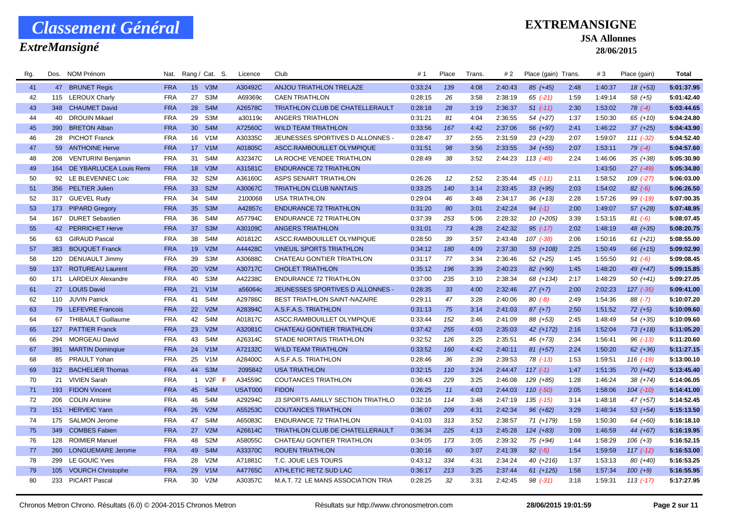### *ExtreMansigné*

### **EXTREMANSIGNE**

#### **JSA Allonnes**

**28/06/2015**

| Rg. | Dos.      | NOM Prénom                  | Nat.       |                 | Rang / Cat. S.   | Licence        | Club                                   | #1      | Place | Trans. | # 2     | Place (gain) Trans. |      | #3      | Place (gain)  | <b>Total</b> |
|-----|-----------|-----------------------------|------------|-----------------|------------------|----------------|----------------------------------------|---------|-------|--------|---------|---------------------|------|---------|---------------|--------------|
| 41  |           | 47 BRUNET Regis             | <b>FRA</b> |                 | 15 V3M           | A30492C        | ANJOU TRIATHLON TRELAZE                | 0:33:24 | 139   | 4:08   | 2:40:43 | 85 (+45)            | 2:48 | 1:40:37 | $18(+53)$     | 5:01:37.95   |
| 42  |           | 115 LEROUX Charly           | <b>FRA</b> | 27              | S3M              | A69369c        | <b>CAEN TRIATHLON</b>                  | 0:28:15 | 26    | 3:58   | 2:38:19 | $65$ $(-21)$        | 1:59 | 1:49:14 | $58(+5)$      | 5:01:42.40   |
| 43  | 348       | <b>CHAUMET David</b>        | <b>FRA</b> | 28              | S <sub>4</sub> M | A26578C        | <b>TRIATHLON CLUB DE CHATELLERAULT</b> | 0:28:18 | 28    | 3:19   | 2:36:37 | $51$ (-11)          | 2:30 | 1:53:02 | $78$ $(-4)$   | 5:03:44.65   |
| 44  | 40        | <b>DROUIN Mikael</b>        | <b>FRA</b> | 29              | S3M              | a30119c        | ANGERS TRIATHLON                       | 0:31:21 | 81    | 4:04   | 2:36:55 | 54 (+27)            | 1:37 | 1:50:30 | $65(+10)$     | 5:04:24.80   |
| 45  | 390       | <b>BRETON Alban</b>         | <b>FRA</b> | 30 <sup>°</sup> | S <sub>4</sub> M | A72560C        | <b>WILD TEAM TRIATHLON</b>             | 0:33:56 | 167   | 4:42   | 2:37:06 | 56 (+97)            | 2:41 | 1:46:22 | $37 (+25)$    | 5:04:43.90   |
| 46  |           | 28 PICHOT Franck            | <b>FRA</b> | 16              | V1M              | A30335C        | JEUNESSES SPORTIVES D ALLONNES -       | 0:28:47 | 37    | 2:55   | 2:31:59 | $23(+23)$           | 2:07 | 1:59:07 | $111 (-32)$   | 5:04:52.40   |
| 47  |           | 59 ANTHOINE Herve           | <b>FRA</b> |                 | 17 V1M           | A01805C        | ASCC.RAMBOUILLET OLYMPIQUE             | 0:31:51 | 98    | 3:56   | 2:33:55 | $34 (+55)$          | 2:07 | 1:53:11 | $79(-4)$      | 5:04:57.60   |
| 48  | 208       | <b>VENTURINI Benjamin</b>   | <b>FRA</b> | 31              | S <sub>4</sub> M | A32347C        | LA ROCHE VENDEE TRIATHLON              | 0:28:49 | 38    | 3:52   | 2:44:23 | $113(-48)$          | 2:24 | 1:46:06 | $35(+38)$     | 5:05:30.90   |
| 49  |           | 164 DE YBARLUCEA Louis Remi | <b>FRA</b> |                 | 18 V3M           | A31581C        | <b>ENDURANCE 72 TRIATHLON</b>          |         |       |        |         |                     |      | 1:43:50 | $27$ $(-49)$  | 5:05:34.80   |
| 50  |           | 92 LE BLEVENNEC Loic        | <b>FRA</b> | 32              | S <sub>2</sub> M | A36160C        | ASPS SENART TRIATHLON                  | 0:26:26 | 12    | 2:52   | 2:35:44 | $45$ $(-11)$        | 2:11 | 1:58:52 | $109$ $(-27)$ | 5:06:03.00   |
| 51  |           | 356 PELTIER Julien          | <b>FRA</b> | 33              | S <sub>2</sub> M | A30067C        | <b>TRIATHLON CLUB NANTAIS</b>          | 0:33:25 | 140   | 3:14   | 2:33:45 | $33 (+95)$          | 2:03 | 1:54:02 | $82 (-6)$     | 5:06:26.50   |
| 52  |           | 317 GUEVEL Rudy             | <b>FRA</b> | 34              | S4M              | 2100068        | <b>USA TRIATHLON</b>                   | 0:29:04 | 46    | 3:48   | 2:34:17 | $36 (+13)$          | 2:28 | 1:57:26 | 99 (-19)      | 5:07:00.35   |
| 53  |           | 173 PIPARD Gregory          | <b>FRA</b> | 35 <sup>5</sup> | S <sub>3</sub> M | A42857c        | <b>ENDURANCE 72 TRIATHLON</b>          | 0:31:20 | 80    | 3:01   | 2:42:24 | $94 (-1)$           | 2:00 | 1:49:07 | 57 (+28)      | 5:07:48.95   |
| 54  | 167       | <b>DURET Sebastien</b>      | <b>FRA</b> | 36              | S <sub>4</sub> M | A57794C        | <b>ENDURANCE 72 TRIATHLON</b>          | 0:37:39 | 253   | 5:06   | 2:28:32 | $10(+205)$          | 3:39 | 1:53:15 | $81 (-6)$     | 5:08:07.45   |
| 55  |           | 42 PERRICHET Herve          | <b>FRA</b> | 37 <sup>2</sup> | S <sub>3</sub> M | A30109C        | <b>ANGERS TRIATHLON</b>                | 0:31:01 | 73    | 4:28   | 2:42:32 | $95$ (-17)          | 2:02 | 1:48:19 | 48 (+35)      | 5:08:20.75   |
| 56  |           | 63 GIRAUD Pascal            | <b>FRA</b> | 38              | S <sub>4</sub> M | A01812C        | ASCC.RAMBOUILLET OLYMPIQUE             | 0:28:50 | 39    | 3:57   | 2:43:48 | $107$ $(-38)$       | 2:06 | 1:50:16 | $61 (+21)$    | 5:08:55.00   |
| 57  |           | 383 BOUQUET Franck          | <b>FRA</b> |                 | 19 V2M           | A44428C        | <b>VINEUIL SPORTS TRIATHLON</b>        | 0:34:12 | 180   | 4:09   | 2:37:30 | 59 (+108)           | 2:25 | 1:50:49 | 66 (+15)      | 5:09:02.90   |
| 58  | 120       | <b>DENUAULT Jimmy</b>       | <b>FRA</b> | 39              | S3M              | A30688C        | CHATEAU GONTIER TRIATHLON              | 0:31:17 | 77    | 3:34   | 2:36:46 | $52(+25)$           | 1:45 | 1:55:50 | $91 (-6)$     | 5:09:08.45   |
| 59  | 137       | <b>ROTUREAU Laurent</b>     | <b>FRA</b> | 20              | V2M              | A30717C        | <b>CHOLET TRIATHLON</b>                | 0:35:12 | 196   | 3:39   | 2:40:23 | 82 (+90)            | 1:45 | 1:48:20 | 49 (+47)      | 5:09:15.85   |
| 60  | 171       | <b>LARDEUX Alexandre</b>    | <b>FRA</b> | 40              | S <sub>3</sub> M | A42238C        | <b>ENDURANCE 72 TRIATHLON</b>          | 0:37:00 | 235   | 3:10   | 2:38:34 | 68 (+134)           | 2:17 | 1:48:29 | $50(+41)$     | 5:09:27.05   |
| 61  | <b>27</b> | <b>LOUIS David</b>          | <b>FRA</b> | 21              | V1M              | a56064c        | JEUNESSES SPORTIVES D ALLONNES -       | 0:28:35 | 33    | 4:00   | 2:32:46 | $27 (+7)$           | 2:00 | 2:02:23 | 127 (-35)     | 5:09:41.00   |
| 62  |           | 110 JUVIN Patrick           | <b>FRA</b> |                 | 41 S4M           | A29786C        | BEST TRIATHLON SAINT-NAZAIRE           | 0:29:11 | 47    | 3:28   | 2:40:06 | $80(-8)$            | 2:49 | 1:54:36 | $88(-7)$      | 5:10:07.20   |
| 63  |           | 79 LEFEVRE Francois         | <b>FRA</b> |                 | 22 V2M           | A28394C        | A.S.F.A.S. TRIATHLON                   | 0:31:13 | 75    | 3:14   | 2:41:03 | $87 (+7)$           | 2:50 | 1:51:52 | $72(+5)$      | 5:10:09.60   |
| 64  | 67        | <b>THIBAULT Guillaume</b>   | <b>FRA</b> |                 | 42 S4M           | A01817C        | ASCC.RAMBOUILLET OLYMPIQUE             | 0:33:44 | 152   | 3:46   | 2:41:09 | 88 (+53)            | 2:45 | 1:48:49 | 54 (+35)      | 5:10:09.60   |
| 65  |           | 127 PATTIER Franck          | <b>FRA</b> |                 | 23 V2M           | A32081C        | CHATEAU GONTIER TRIATHLON              | 0:37:42 | 255   | 4:03   | 2:35:03 | 42 (+172)           | 2:16 | 1:52:04 | $73(+18)$     | 5:11:05.20   |
| 66  | 294       | <b>MORGEAU David</b>        | <b>FRA</b> | 43              | S <sub>4</sub> M | A26314C        | STADE NIORTAIS TRIATHLON               | 0:32:52 | 126   | 3:25   | 2:35:51 | 46 (+73)            | 2:34 | 1:56:41 | $96$ $(-13)$  | 5:11:20.60   |
| 67  | 391       | <b>MARTIN Domingiue</b>     | <b>FRA</b> |                 | 24 V1M           | A72132C        | <b>WILD TEAM TRIATHLON</b>             | 0:33:52 | 160   | 4:42   | 2:40:11 | $81 (+57)$          | 2:24 | 1:50:20 | $62$ $(+36)$  | 5:11:27.15   |
| 68  | 85        | <b>PRAULT Yohan</b>         | <b>FRA</b> | 25              | V1M              | A28400C        | A.S.F.A.S. TRIATHLON                   | 0:28:46 | 36    | 2:39   | 2:39:53 | $78$ $(-13)$        | 1:53 | 1:59:51 | $116$ $(-19)$ | 5:13:00.10   |
| 69  |           | 312 BACHELIER Thomas        | <b>FRA</b> | 44              | S <sub>3</sub> M | 2095842        | <b>USA TRIATHLON</b>                   | 0:32:15 | 110   | 3:24   | 2:44:47 | $117(-1)$           | 1:47 | 1:51:35 | $70(+42)$     | 5:13:45.40   |
| 70  | 21        | <b>VIVIEN Sarah</b>         | <b>FRA</b> | $\mathbf{1}$    | $V2F$ F          | A34559C        | <b>COUTANCES TRIATHLON</b>             | 0:36:43 | 229   | 3:25   | 2:46:08 | 129 (+85)           | 1:28 | 1:46:24 | $38 (+74)$    | 5:14:06.05   |
| 71  |           | 193 FIDON Vincent           | <b>FRA</b> |                 | 45 S4M           | <b>USAT000</b> | <b>FIDON</b>                           | 0:26:25 | 11    | 4:03   | 2:44:03 | $110(-50)$          | 2:05 | 1:58:06 | $104$ $(-10)$ | 5:14:41.00   |
| 72  |           | 206 COLIN Antoine           | <b>FRA</b> | 46              | S <sub>4</sub> M | A29294C        | J3 SPORTS AMILLY SECTION TRIATHLO      | 0:32:16 | 114   | 3:48   | 2:47:19 | 135 (-15)           | 3:14 | 1:48:18 | 47 (+57)      | 5:14:52.45   |
| 73  |           | 151 HERVEIC Yann            | <b>FRA</b> |                 | 26 V2M           | A55253C        | <b>COUTANCES TRIATHLON</b>             | 0:36:07 | 209   | 4:31   | 2:42:34 | $96 (+82)$          | 3:29 | 1:48:34 | $53(+54)$     | 5:15:13.50   |
| 74  |           | 175 SALMON Jerome           | <b>FRA</b> | 47              | S4M              | A65083C        | <b>ENDURANCE 72 TRIATHLON</b>          | 0:41:03 | 313   | 3:52   | 2:38:57 | 71 (+179)           | 1:59 | 1:50:30 | 64 (+60)      | 5:16:18.10   |
| 75  |           | 349 COMBES Fabien           | <b>FRA</b> | 27              | V2M              | A26614C        | TRIATHLON CLUB DE CHATELLERAULT        | 0:36:34 | 225   | 4:13   | 2:45:28 | $124 (+83)$         | 3:09 | 1:46:59 | 44 (+67)      | 5:16:19.95   |
| 76  | 128       | <b>ROIMIER Manuel</b>       | <b>FRA</b> | 48              | S <sub>2</sub> M | A58055C        | CHATEAU GONTIER TRIATHLON              | 0:34:05 | 173   | 3:05   | 2:39:32 | 75 (+94)            | 1:44 | 1:58:29 | $106 (+3)$    | 5:16:52.15   |
| 77  | 260       | <b>LONGUEMARE Jerome</b>    | <b>FRA</b> | 49              | S <sub>4</sub> M | A33370C        | <b>ROUEN TRIATHLON</b>                 | 0:30:16 | 60    | 3:07   | 2:41:39 | $92 (-5)$           | 1:54 | 1:59:59 | $117(-12)$    | 5:16:53.00   |
| 78  |           | 299 LE GOUIC Yves           | <b>FRA</b> | 28              | V2M              | A71881C        | T.C. JOUE LES TOURS                    | 0:43:12 | 334   | 4:31   | 2:34:24 | 40 (+216)           | 1:37 | 1:53:13 | 80 (+40)      | 5:16:53.25   |
| 79  | 105       | <b>VOURCH Christophe</b>    | <b>FRA</b> | 29              | V1M              | A47765C        | ATHLETIC RETZ SUD LAC                  | 0:36:17 | 213   | 3:25   | 2:37:44 | $61 (+125)$         | 1:58 | 1:57:34 | $100 (+9)$    | 5:16:55.95   |
| 80  | 233       | <b>PICART Pascal</b>        | <b>FRA</b> | 30              | V2M              | A30357C        | M.A.T. 72 LE MANS ASSOCIATION TRIA     | 0:28:25 | 32    | 3:31   | 2:42:45 | $98$ $(-31)$        | 3:18 | 1:59:31 | $113( -17)$   | 5:17:27.95   |
|     |           |                             |            |                 |                  |                |                                        |         |       |        |         |                     |      |         |               |              |

Chronos Metron Chrono. Résultats (6.0) © 2004-2015 Chronos Metron Résultats sur http://www.chronosmetron.com **28/06/2015 19:01:59 Page 2 sur 11**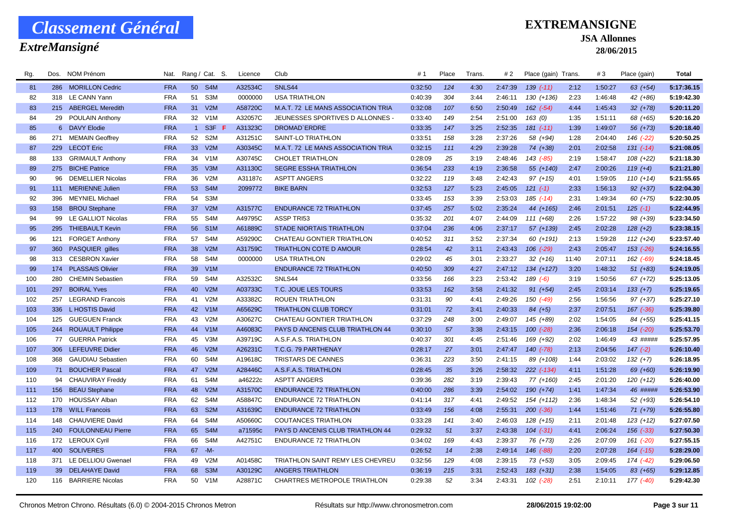### *ExtreMansigné*

### **EXTREMANSIGNE**

#### **JSA Allonnes**

| Rg. | Dos. | NOM Prénom               | Nat.       |                 | Rang / Cat. S.   | Licence | Club                               | #1      | Place | Trans. | # 2     | Place (gain) Trans. |       | #3      | Place (gain)  | <b>Total</b> |
|-----|------|--------------------------|------------|-----------------|------------------|---------|------------------------------------|---------|-------|--------|---------|---------------------|-------|---------|---------------|--------------|
| 81  |      | 286 MORILLON Cedric      | <b>FRA</b> |                 | 50 S4M           | A32534C | SNLS44                             | 0:32:50 | 124   | 4:30   | 2:47:39 | $139(-11)$          | 2:12  | 1:50:27 | $63$ $(+54)$  | 5:17:36.15   |
| 82  | 318  | LE CANN Yann             | <b>FRA</b> | 51              | S <sub>3</sub> M | 0000000 | <b>USA TRIATHLON</b>               | 0:40:39 | 304   | 3:44   | 2:46:11 | $130 (+136)$        | 2:23  | 1:46:48 | 42 (+86)      | 5:19:42.30   |
| 83  |      | 215 ABERGEL Meredith     | <b>FRA</b> | 31              | V2M              | A58720C | M.A.T. 72 LE MANS ASSOCIATION TRIA | 0:32:08 | 107   | 6:50   | 2:50:49 | $162$ $(-54)$       | 4:44  | 1:45:43 | $32 (+78)$    | 5:20:11.20   |
| 84  |      | 29 POULAIN Anthony       | <b>FRA</b> | 32              | V <sub>1</sub> M | A32057C | JEUNESSES SPORTIVES D ALLONNES -   | 0:33:40 | 149   | 2:54   | 2:51:00 | 163(0)              | 1:35  | 1:51:11 | 68 (+65)      | 5:20:16.20   |
| 85  |      | 6 DAVY Elodie            | <b>FRA</b> | $\mathbf{1}$    | S <sub>3F</sub>  | A31323C | DROMAD'ERDRE                       | 0:33:35 | 147   | 3:25   | 2:52:35 | $181$ $(-11)$       | 1:39  | 1:49:07 | 56 (+73)      | 5:20:18.40   |
| 86  |      | 271 MEMAIN Geoffrey      | <b>FRA</b> |                 | 52 S2M           | A31251C | SAINT-LO TRIATHLON                 | 0:33:51 | 158   | 3:28   | 2:37:26 | 58 (+94)            | 1:28  | 2:04:40 | 146 (-22)     | 5:20:50.25   |
| 87  |      | 229 LECOT Eric           | <b>FRA</b> | 33 <sup>°</sup> | V2M              | A30345C | M.A.T. 72 LE MANS ASSOCIATION TRIA | 0:32:15 | 111   | 4:29   | 2:39:28 | $74(+38)$           | 2:01  | 2:02:58 | $131 (-14)$   | 5:21:08.05   |
| 88  | 133  | <b>GRIMAULT Anthony</b>  | <b>FRA</b> | 34              | V1M              | A30745C | <b>CHOLET TRIATHLON</b>            | 0:28:09 | 25    | 3:19   | 2:48:46 | 143 (-85)           | 2:19  | 1:58:47 | $108 (+22)$   | 5:21:18.30   |
| 89  |      | 275 BICHE Patrice        | <b>FRA</b> | 35 <sup>5</sup> | V3M              | A31130C | <b>SEGRE ESSHA TRIATHLON</b>       | 0:36:54 | 233   | 4:19   | 2:36:58 | 55 (+140)           | 2:47  | 2:00:26 | $119 (+4)$    | 5:21:21.80   |
| 90  | 96   | <b>DEMELLIER Nicolas</b> | <b>FRA</b> | 36              | V2M              | A31187c | <b>ASPTT ANGERS</b>                | 0:32:22 | 119   | 3:48   | 2:42:43 | $97 (+15)$          | 4:01  | 1:59:05 | $110 (+14)$   | 5:21:55.65   |
| 91  |      | 111 MERIENNE Julien      | <b>FRA</b> | 53              | S4M              | 2099772 | <b>BIKE BARN</b>                   | 0:32:53 | 127   | 5:23   | 2:45:05 | $121 (-1)$          | 2:33  | 1:56:13 | $92 (+37)$    | 5:22:04.30   |
| 92  | 396  | <b>MEYNIEL Michael</b>   | <b>FRA</b> | 54              | S3M              |         |                                    | 0:33:45 | 153   | 3:39   | 2:53:03 | $185$ $(-14)$       | 2:31  | 1:49:34 | 60 (+75)      | 5:22:30.05   |
| 93  | 158  | <b>BROU Stephane</b>     | <b>FRA</b> | 37 <sup>2</sup> | V2M              | A31577C | <b>ENDURANCE 72 TRIATHLON</b>      | 0:37:45 | 257   | 5:02   | 2:35:24 | 44 (+165)           | 2:46  | 2:01:51 | $125(-1)$     | 5:22:44.95   |
| 94  | 99   | LE GALLIOT Nicolas       | <b>FRA</b> | 55              | S <sub>4</sub> M | A49795C | <b>ASSP TRI53</b>                  | 0:35:32 | 201   | 4:07   | 2:44:09 | $111 (+68)$         | 2:26  | 1:57:22 | 98 (+39)      | 5:23:34.50   |
| 95  | 295  | <b>THIEBAULT Kevin</b>   | <b>FRA</b> |                 | 56 S1M           | A61889C | <b>STADE NIORTAIS TRIATHLON</b>    | 0:37:04 | 236   | 4:06   | 2:37:17 | 57 (+139)           | 2:45  | 2:02:28 | $128 (+2)$    | 5:23:38.15   |
| 96  | 121  | <b>FORGET Anthony</b>    | <b>FRA</b> | 57              | S <sub>4</sub> M | A59290C | CHATEAU GONTIER TRIATHLON          | 0:40:52 | 311   | 3:52   | 2:37:34 | 60 (+191)           | 2:13  | 1:59:28 | $112 (+24)$   | 5:23:57.40   |
| 97  |      | 360 PASQUIER gilles      | <b>FRA</b> | 38              | V2M              | A31759C | <b>TRIATHLON COTE D AMOUR</b>      | 0:28:54 | 42    | 3:11   | 2:43:43 | $106$ $(-29)$       | 2:43  | 2:05:47 | $153$ $(-26)$ | 5:24:16.55   |
| 98  | 313  | <b>CESBRON Xavier</b>    | <b>FRA</b> | 58              | S <sub>4</sub> M | 0000000 | <b>USA TRIATHLON</b>               | 0:29:02 | 45    | 3:01   | 2:33:27 | $32 (+16)$          | 11:40 | 2:07:11 | $162$ $(-69)$ | 5:24:18.45   |
| 99  |      | 174 PLASSAIS Olivier     | <b>FRA</b> |                 | 39 V1M           |         | <b>ENDURANCE 72 TRIATHLON</b>      | 0:40:50 | 309   | 4:27   | 2:47:12 | 134 (+127)          | 3:20  | 1:48:32 | $51 (+83)$    | 5:24:19.05   |
| 100 | 280  | <b>CHEMIN Sebastien</b>  | <b>FRA</b> | 59              | S <sub>4</sub> M | A32532C | SNLS44                             | 0:33:56 | 166   | 3:23   | 2:53:42 | $189(-6)$           | 3:19  | 1:50:56 | $67 (+72)$    | 5:25:13.05   |
| 101 | 297  | <b>BOIRAL Yves</b>       | <b>FRA</b> | 40              | V2M              | A03733C | T.C. JOUE LES TOURS                | 0:33:53 | 162   | 3:58   | 2:41:32 | $91 (+54)$          | 2:45  | 2:03:14 | $133 (+7)$    | 5:25:19.65   |
| 102 | 257  | <b>LEGRAND Francois</b>  | <b>FRA</b> | 41              | V2M              | A33382C | <b>ROUEN TRIATHLON</b>             | 0:31:31 | 90    | 4:41   | 2:49:26 | $150( -49)$         | 2:56  | 1:56:56 | $97 (+37)$    | 5:25:27.10   |
| 103 | 336  | L HOSTIS David           | <b>FRA</b> |                 | 42 V1M           | A65629C | <b>TRIATHLON CLUB TORCY</b>        | 0:31:01 | 72    | 3:41   | 2:40:33 | $84(+5)$            | 2:37  | 2:07:51 | 167 (-36)     | 5:25:39.80   |
| 104 | 125  | <b>GUEGUEN Franck</b>    | <b>FRA</b> | 43              | V2M              | A30627C | CHATEAU GONTIER TRIATHLON          | 0:37:29 | 248   | 3:00   | 2:49:07 | 145 (+89)           | 2:02  | 1:54:05 | 84 (+55)      | 5:25:41.15   |
| 105 |      | 244 ROUAULT Philippe     | <b>FRA</b> |                 | 44 V1M           | A46083C | PAYS D ANCENIS CLUB TRIATHLON 44   | 0:30:10 | 57    | 3:38   | 2:43:15 | $100 (-28)$         | 2:36  | 2:06:18 | 154 (-20)     | 5:25:53.70   |
| 106 | 77   | <b>GUERRA Patrick</b>    | <b>FRA</b> | 45              | V3M              | A39719C | A.S.F.A.S. TRIATHLON               | 0:40:37 | 301   | 4:45   | 2:51:46 | 169 (+92)           | 2:02  | 1:46:49 | 43 #####      | 5:25:57.95   |
| 107 |      | 306 LEFEUVRE Didier      | <b>FRA</b> | 46              | V2M              | A26231C | T.C.G. 79 PARTHENAY                | 0:28:17 | 27    | 3:01   | 2:47:47 | $140$ $(-78)$       | 2:13  | 2:04:56 | $147(-2)$     | 5:26:10.40   |
| 108 | 368  | <b>GAUDIAU Sebastien</b> | <b>FRA</b> | 60              | S <sub>4</sub> M | A19618C | <b>TRISTARS DE CANNES</b>          | 0:36:31 | 223   | 3:50   | 2:41:15 | 89 (+108)           | 1:44  | 2:03:02 | $132 (+7)$    | 5:26:18.95   |
| 109 | 71   | <b>BOUCHER Pascal</b>    | <b>FRA</b> | 47              | V2M              | A28446C | A.S.F.A.S. TRIATHLON               | 0:28:45 | 35    | 3:26   | 2:58:32 | $222$ $(-134)$      | 4:11  | 1:51:28 | 69 (+60)      | 5:26:19.90   |
| 110 |      | 94 CHAUVIRAY Freddy      | <b>FRA</b> | 61              | S <sub>4</sub> M | a46222c | <b>ASPTT ANGERS</b>                | 0:39:36 | 282   | 3:19   | 2:39:43 | $77(+160)$          | 2:45  | 2:01:20 | $120 (+12)$   | 5:26:40.00   |
| 111 |      | 156 BEAU Stephane        | <b>FRA</b> | 48              | V2M              | A31570C | <b>ENDURANCE 72 TRIATHLON</b>      | 0:40:00 | 286   | 3:39   | 2:54:02 | $190 (+74)$         | 1:41  | 1:47:34 | 46 #####      | 5:26:53.90   |
| 112 |      | 170 HOUSSAY Alban        | <b>FRA</b> | 62              | S4M              | A58847C | <b>ENDURANCE 72 TRIATHLON</b>      | 0:41:14 | 317   | 4:41   | 2:49:52 | $154 (+112)$        | 2:36  | 1:48:34 | $52(+93)$     | 5:26:54.10   |
| 113 |      | 178 WILL Francois        | <b>FRA</b> | 63              | S <sub>2</sub> M | A31639C | <b>ENDURANCE 72 TRIATHLON</b>      | 0:33:49 | 156   | 4:08   | 2:55:31 | $200 (-36)$         | 1:44  | 1:51:46 | $71 (+79)$    | 5:26:55.80   |
| 114 | 148  | <b>CHAUVIERE David</b>   | <b>FRA</b> | 64              | S <sub>4</sub> M | A50660C | <b>COUTANCES TRIATHLON</b>         | 0:33:28 | 141   | 3:40   | 2:46:03 | $128 (+15)$         | 2:11  | 2:01:48 | $123 (+12)$   | 5:27:07.50   |
| 115 |      | 240 FOULONNEAU Pierre    | <b>FRA</b> |                 | 65 S4M           | a71595c | PAYS D ANCENIS CLUB TRIATHLON 44   | 0:29:32 | 51    | 3:37   | 2:43:38 | $104$ $(-31)$       | 4:41  | 2:06:24 | 156 (-33)     | 5:27:50.30   |
| 116 |      | 172 LEROUX Cyril         | <b>FRA</b> | 66              | S <sub>4</sub> M | A42751C | <b>ENDURANCE 72 TRIATHLON</b>      | 0:34:02 | 169   | 4:43   | 2:39:37 | 76 (+73)            | 2:26  | 2:07:09 | $161$ $(-20)$ | 5:27:55.15   |
| 117 | 400  | <b>SOLIVERES</b>         | <b>FRA</b> | 67              | $-M-$            |         |                                    | 0:26:52 | 14    | 2:38   | 2:49:14 | 146 (-88)           | 2:20  | 2:07:28 | $164$ $(-15)$ | 5:28:29.00   |
| 118 | 371  | LE DELLIOU Gwenael       | <b>FRA</b> | 49              | V2M              | A01458C | TRIATHLON SAINT REMY LES CHEVREU   | 0:32:56 | 129   | 4:08   | 2:39:15 | $73 (+53)$          | 3:05  | 2:09:45 | 174 (-42)     | 5:29:06.50   |
| 119 | 39   | <b>DELAHAYE David</b>    | <b>FRA</b> | 68              | S <sub>3</sub> M | A30129C | <b>ANGERS TRIATHLON</b>            | 0:36:19 | 215   | 3:31   | 2:52:43 | $183 (+31)$         | 2:38  | 1:54:05 | 83 (+65)      | 5:29:12.85   |
| 120 |      | 116 BARRIERE Nicolas     | <b>FRA</b> | 50              | V <sub>1</sub> M | A28871C | CHARTRES METROPOLE TRIATHLON       | 0:29:38 | 52    | 3:34   | 2:43:31 | $102$ $(-28)$       | 2:51  | 2:10:11 | 177 (-40)     | 5:29:42.30   |
|     |      |                          |            |                 |                  |         |                                    |         |       |        |         |                     |       |         |               |              |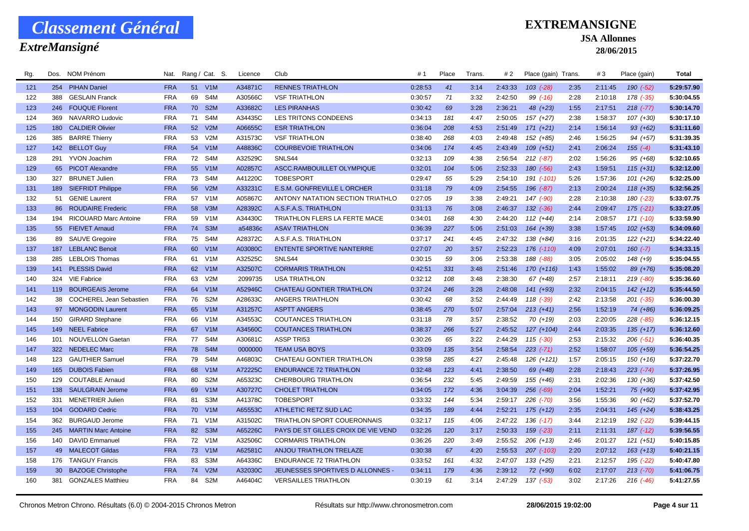### *ExtreMansigné*

### **EXTREMANSIGNE**

#### **JSA Allonnes**

| Rg. | Dos.            | <b>NOM Prénom</b>            | Nat.       |                 | Rang / Cat. S.   | Licence | Club                                | #1      | Place | Trans. | # 2     | Place (gain) Trans. |      | #3      | Place (gain)  | <b>Total</b> |
|-----|-----------------|------------------------------|------------|-----------------|------------------|---------|-------------------------------------|---------|-------|--------|---------|---------------------|------|---------|---------------|--------------|
| 121 |                 | 254 PIHAN Daniel             | <b>FRA</b> |                 | 51 V1M           | A34871C | <b>RENNES TRIATHLON</b>             | 0:28:53 | 41    | 3:14   | 2:43:33 | $103$ $(-28)$       | 2:35 | 2:11:45 | 190 (-52)     | 5:29:57.90   |
| 122 | 388             | <b>GESLAIN Franck</b>        | <b>FRA</b> | 69              | S4M              | A30566C | <b>VSF TRIATHLON</b>                | 0:30:57 | 71    | 3:32   | 2:42:50 | $99$ $(-16)$        | 2:28 | 2:10:18 | 178 (-35)     | 5:30:04.55   |
| 123 | 246             | <b>FOUQUE Florent</b>        | <b>FRA</b> |                 | 70 S2M           | A33682C | <b>LES PIRANHAS</b>                 | 0:30:42 | 69    | 3:28   | 2:36:21 | 48 (+23)            | 1:55 | 2:17:51 | $218 (-77)$   | 5:30:14.70   |
| 124 | 369             | NAVARRO Ludovic              | <b>FRA</b> | 71              | S <sub>4</sub> M | A34435C | LES TRITONS CONDEENS                | 0:34:13 | 181   | 4:47   | 2:50:05 | $157 (+27)$         | 2:38 | 1:58:37 | $107 (+30)$   | 5:30:17.10   |
| 125 | 180             | <b>CALDIER Olivier</b>       | <b>FRA</b> | 52 <sub>2</sub> | V2M              | A06655C | <b>ESR TRIATHLON</b>                | 0:36:04 | 208   | 4:53   | 2:51:49 | $171 (+21)$         | 2:14 | 1:56:14 | $93 (+62)$    | 5:31:11.60   |
| 126 |                 | 385 BARRE Thierry            | <b>FRA</b> | 53              | V2M              | A31573C | <b>VSF TRIATHLON</b>                | 0:38:40 | 268   | 4:03   | 2:49:48 | $152 (+85)$         | 2:46 | 1:56:25 | $94(+57)$     | 5:31:39.35   |
| 127 |                 | 142 BELLOT Guy               | <b>FRA</b> |                 | 54 V1M           | A48836C | <b>COURBEVOIE TRIATHLON</b>         | 0:34:06 | 174   | 4:45   | 2:43:49 | $109 (+51)$         | 2:41 | 2:06:24 | $155 (-4)$    | 5:31:43.10   |
| 128 | 291             | <b>YVON Joachim</b>          | <b>FRA</b> | 72              | S4M              | A32529C | SNLS44                              | 0:32:13 | 109   | 4:38   | 2:56:54 | $212$ $(-87)$       | 2:02 | 1:56:26 | 95 (+68)      | 5:32:10.65   |
| 129 |                 | 65 PICOT Alexandre           | <b>FRA</b> |                 | 55 V1M           | A02857C | ASCC.RAMBOUILLET OLYMPIQUE          | 0:32:01 | 104   | 5:06   | 2:52:33 | 180 (-56)           | 2:43 | 1:59:51 | $115 (+31)$   | 5:32:12.00   |
| 130 | 327             | <b>BRUNET Julien</b>         | <b>FRA</b> | 73              | S4M              | A41220C | <b>TOBESPORT</b>                    | 0:29:47 | 55    | 5:29   | 2:54:10 | 191 (-101)          | 5:26 | 1:57:36 | $101 (+26)$   | 5:32:25.00   |
| 131 |                 | 189 SIEFRIDT Philippe        | <b>FRA</b> | 56              | V2M              | A33231C | E.S.M. GONFREVILLE L ORCHER         | 0:31:18 | 79    | 4:09   | 2:54:55 | $196$ $(-87)$       | 2:13 | 2:00:24 | $118 (+35)$   | 5:32:56.25   |
| 132 | 51              | <b>GENIE Laurent</b>         | <b>FRA</b> | 57              | V1M              | A05867C | ANTONY NATATION SECTION TRIATHLO    | 0:27:05 | 19    | 3:38   | 2:49:21 | 147 (-90)           | 2:28 | 2:10:38 | 180 (-23)     | 5:33:07.75   |
| 133 | 86              | <b>ROUDAIRE Frederic</b>     | <b>FRA</b> | 58              | V3M              | A28392C | A.S.F.A.S. TRIATHLON                | 0:31:13 | 76    | 3:08   | 2:46:37 | $132$ $(-36)$       | 2:44 | 2:09:47 | $175$ $(-21)$ | 5:33:27.05   |
| 134 | 194             | <b>RICOUARD Marc Antoine</b> | <b>FRA</b> | 59              | V1M              | A34430C | TRIATHLON FLERS LA FERTE MACE       | 0:34:01 | 168   | 4:30   | 2:44:20 | $112 (+44)$         | 2:14 | 2:08:57 | $171$ $(-10)$ | 5:33:59.90   |
| 135 |                 | 55 FIEIVET Arnaud            | <b>FRA</b> |                 | 74 S3M           | a54836c | <b>ASAV TRIATHLON</b>               | 0:36:39 | 227   | 5:06   | 2:51:03 | 164 (+39)           | 3:38 | 1:57:45 | $102 (+53)$   | 5:34:09.60   |
| 136 |                 | 89 SAUVE Gregoire            | <b>FRA</b> | 75              | S4M              | A28372C | A.S.F.A.S. TRIATHLON                | 0:37:17 | 241   | 4:45   | 2:47:32 | 138 (+84)           | 3:16 | 2:01:35 | $122 (+21)$   | 5:34:22.40   |
| 137 |                 | 187 LEBLANC Benoit           | <b>FRA</b> |                 | 60 V1M           | A03080C | <b>ENTENTE SPORTIVE NANTERRE</b>    | 0:27:07 | 20    | 3:57   | 2:52:23 | 176 (-110)          | 4:09 | 2:07:01 | $160 (-7)$    | 5:34:33.15   |
| 138 |                 | 285 LEBLOIS Thomas           | <b>FRA</b> | 61              | V <sub>1</sub> M | A32525C | SNLS44                              | 0:30:15 | 59    | 3:06   | 2:53:38 | 188 (-88)           | 3:05 | 2:05:02 | $148 (+9)$    | 5:35:04.55   |
| 139 | 141             | <b>PLESSIS David</b>         | <b>FRA</b> |                 | 62 V1M           | A32507C | <b>CORMARIS TRIATHLON</b>           | 0:42:51 | 331   | 3:48   | 2:51:46 | $170(+116)$         | 1:43 | 1:55:02 | 89 (+76)      | 5:35:08.20   |
| 140 | 324             | <b>VIE Fabrice</b>           | <b>FRA</b> | 63              | V2M              | 2099735 | <b>USA TRIATHLON</b>                | 0:32:12 | 108   | 3:48   | 2:38:30 | $67 (+48)$          | 2:57 | 2:18:11 | $219( -80)$   | 5:35:36.60   |
| 141 | 119             | <b>BOURGEAIS Jerome</b>      | <b>FRA</b> | 64              | V1M              | A52946C | <b>CHATEAU GONTIER TRIATHLON</b>    | 0:37:24 | 246   | 3:28   | 2:48:08 | $141 (+93)$         | 2:32 | 2:04:15 | $142 (+12)$   | 5:35:44.50   |
| 142 |                 | 38 COCHEREL Jean Sebastien   | <b>FRA</b> |                 | 76 S2M           | A28633C | ANGERS TRIATHLON                    | 0:30:42 | 68    | 3:52   | 2:44:49 | 118 (-39)           | 2:42 | 2:13:58 | $201$ $(-35)$ | 5:36:00.30   |
| 143 |                 | 97 MONGODIN Laurent          | <b>FRA</b> |                 | 65 V1M           | A31257C | <b>ASPTT ANGERS</b>                 | 0:38:45 | 270   | 5:07   | 2:57:04 | $213 (+41)$         | 2:56 | 1:52:19 | 74 (+86)      | 5:36:09.25   |
| 144 | 150             | <b>GIRARD Stephane</b>       | <b>FRA</b> | 66              | V1M              | A34553C | <b>COUTANCES TRIATHLON</b>          | 0:31:18 | 78    | 3:57   | 2:38:52 | $70(+19)$           | 2:03 | 2:20:05 | $228$ $(-85)$ | 5:36:12.15   |
| 145 |                 | 149 NEEL Fabrice             | <b>FRA</b> |                 | 67 V1M           | A34560C | <b>COUTANCES TRIATHLON</b>          | 0:38:37 | 266   | 5:27   | 2:45:52 | $127 (+104)$        | 2:44 | 2:03:35 | $135 (+17)$   | 5:36:12.60   |
| 146 | 101             | <b>NOUVELLON Gaetan</b>      | <b>FRA</b> | 77              | S4M              | A30681C | ASSP TRI53                          | 0:30:26 | 65    | 3:22   | 2:44:29 | $115$ $(-30)$       | 2:53 | 2:15:32 | $206$ $(-51)$ | 5:36:40.35   |
| 147 |                 | 322 NEDELEC Marc             | <b>FRA</b> |                 | 78 S4M           | 0000000 | <b>TEAM USA BOYS</b>                | 0:33:09 | 135   | 3:54   | 2:58:54 | $223 (-71)$         | 2:52 | 1:58:07 | $105 (+59)$   | 5:36:54.25   |
| 148 |                 | 123 GAUTHIER Samuel          | <b>FRA</b> | 79              | S4M              | A46803C | CHATEAU GONTIER TRIATHLON           | 0:39:58 | 285   | 4:27   | 2:45:48 | $126 (+121)$        | 1:57 | 2:05:15 | $150(+16)$    | 5:37:22.70   |
| 149 | 165             | <b>DUBOIS Fabien</b>         | <b>FRA</b> | 68              | V1M              | A72225C | <b>ENDURANCE 72 TRIATHLON</b>       | 0:32:48 | 123   | 4:41   | 2:38:50 | 69 (+48)            | 2:28 | 2:18:43 | $223 (-74)$   | 5:37:26.95   |
| 150 | 129             | <b>COUTABLE Arnaud</b>       | <b>FRA</b> | 80              | S <sub>2</sub> M | A65323C | CHERBOURG TRIATHLON                 | 0:36:54 | 232   | 5:45   | 2:49:59 | 155 (+46)           | 2:31 | 2:02:36 | 130 (+36)     | 5:37:42.50   |
| 151 |                 | 138 SAULGRAIN Jerome         | <b>FRA</b> |                 | 69 V1M           | A30727C | <b>CHOLET TRIATHLON</b>             | 0:34:05 | 172   | 4:36   | 3:04:39 | $256$ $(-69)$       | 2:04 | 1:52:21 | 75 (+90)      | 5:37:42.95   |
| 152 | 331             | <b>MENETRIER Julien</b>      | <b>FRA</b> | 81              | S3M              | A41378C | <b>TOBESPORT</b>                    | 0:33:32 | 144   | 5:34   | 2:59:17 | $226$ $(-70)$       | 3:56 | 1:55:36 | $90(+62)$     | 5:37:52.70   |
| 153 |                 | 104 GODARD Cedric            | <b>FRA</b> |                 | 70 V1M           | A65553C | ATHLETIC RETZ SUD LAC               | 0:34:35 | 189   | 4:44   | 2:52:21 | $175 (+12)$         | 2:35 | 2:04:31 | $145 (+24)$   | 5:38:43.25   |
| 154 | 362             | <b>BURGAUD Jerome</b>        | <b>FRA</b> | 71              | V1M              | A31502C | <b>TRIATHLON SPORT COUERONNAIS</b>  | 0:32:17 | 115   | 4:06   | 2:47:22 | $136$ $(-17)$       | 3:44 | 2:12:19 | 192 (-22)     | 5:39:44.15   |
| 155 | 245             | <b>MARTIN Marc Antoine</b>   | <b>FRA</b> |                 | 82 S3M           | A65226C | PAYS DE ST GILLES CROIX DE VIE VEND | 0:32:26 | 120   | 3:17   | 2:50:33 | $159$ $(-23)$       | 2:11 | 2:11:31 | 187 (-12)     | 5:39:56.55   |
| 156 | 140             | <b>DAVID Emmanuel</b>        | <b>FRA</b> |                 | 72 V1M           | A32506C | <b>CORMARIS TRIATHLON</b>           | 0:36:26 | 220   | 3:49   | 2:55:52 | $206 (+13)$         | 2:46 | 2:01:27 | $121 (+51)$   | 5:40:15.85   |
| 157 |                 | 49 MALECOT Gildas            | <b>FRA</b> |                 | 73 V1M           | A62581C | ANJOU TRIATHLON TRELAZE             | 0:30:38 | 67    | 4:20   | 2:55:53 | 207 (-103)          | 2:20 | 2:07:12 | $163 (+13)$   | 5:40:21.15   |
| 158 |                 | 176 TANGUY Francis           | <b>FRA</b> | 83              | S3M              | A64336C | <b>ENDURANCE 72 TRIATHLON</b>       | 0:33:52 | 161   | 4:32   | 2:47:07 | $133 (+25)$         | 2:21 | 2:12:57 | 195 (-22)     | 5:40:47.80   |
| 159 | 30 <sup>°</sup> | <b>BAZOGE Christophe</b>     | <b>FRA</b> | 74              | V2M              | A32030C | JEUNESSES SPORTIVES D ALLONNES -    | 0:34:11 | 179   | 4:36   | 2:39:12 | $72$ $(+90)$        | 6:02 | 2:17:07 | $213 (-70)$   | 5:41:06.75   |
| 160 | 381             | <b>GONZALES Matthieu</b>     | <b>FRA</b> | 84              | S <sub>2</sub> M | A46404C | <b>VERSAILLES TRIATHLON</b>         | 0:30:19 | 61    | 3:14   | 2:47:29 | 137 (-53)           | 3:02 | 2:17:26 | $216$ $(-46)$ | 5:41:27.55   |
|     |                 |                              |            |                 |                  |         |                                     |         |       |        |         |                     |      |         |               |              |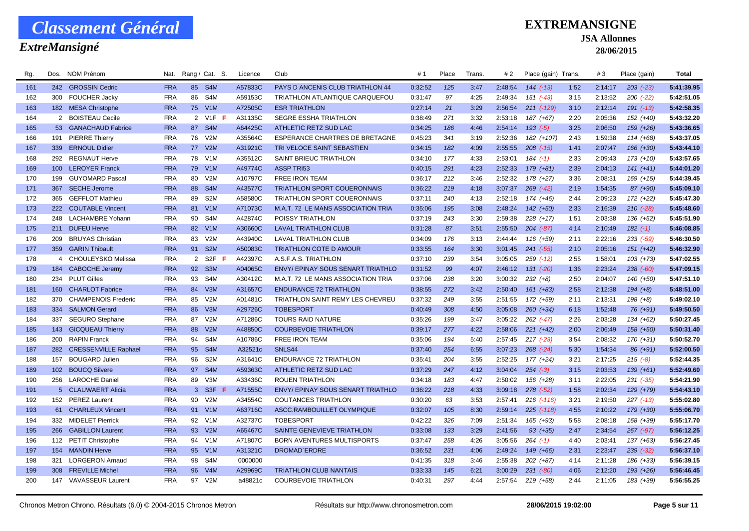### *ExtreMansigné*

### **EXTREMANSIGNE**

#### **JSA Allonnes**

| Rg. | Dos.             | NOM Prénom               | Nat.       |                | Rang / Cat. S.   | Licence | Club                                  | #1      | Place | Trans. | # 2     | Place (gain) Trans. |      | #3      | Place (gain)  | <b>Total</b> |
|-----|------------------|--------------------------|------------|----------------|------------------|---------|---------------------------------------|---------|-------|--------|---------|---------------------|------|---------|---------------|--------------|
| 161 |                  | 242 GROSSIN Cedric       | <b>FRA</b> |                | 85 S4M           | A57833C | PAYS D ANCENIS CLUB TRIATHLON 44      | 0:32:52 | 125   | 3:47   | 2:48:54 | $144$ $(-13)$       | 1:52 | 2:14:17 | $203$ $(-23)$ | 5:41:39.95   |
| 162 |                  | 300 FOUCHER Jacky        | <b>FRA</b> | 86             | S4M              | A59153C | TRIATHLON ATLANTIQUE CARQUEFOU        | 0:31:47 | 97    | 4:25   | 2:49:34 | $151$ $(-43)$       | 3:15 | 2:13:52 | $200$ $(-22)$ | 5:42:51.05   |
| 163 |                  | 182 MESA Christophe      | <b>FRA</b> |                | 75 V1M           | A72505C | <b>ESR TRIATHLON</b>                  | 0:27:14 | 21    | 3:29   | 2:56:54 | 211 (-129)          | 3:10 | 2:12:14 | $191 (-13)$   | 5:42:58.35   |
| 164 |                  | 2 BOISTEAU Cecile        | <b>FRA</b> |                | 2 V1F F          | A31135C | SEGRE ESSHA TRIATHLON                 | 0:38:49 | 271   | 3:32   | 2:53:18 | 187 (+67)           | 2:20 | 2:05:36 | 152 (+40)     | 5:43:32.20   |
| 165 |                  | 53 GANACHAUD Fabrice     | <b>FRA</b> |                | 87 S4M           | A64425C | ATHLETIC RETZ SUD LAC                 | 0:34:25 | 186   | 4:46   | 2:54:14 | $193(-5)$           | 3:25 | 2:06:50 | $159 (+26)$   | 5:43:36.65   |
| 166 | 191              | <b>PIERRE Thierry</b>    | <b>FRA</b> | 76             | V2M              | A35564C | <b>ESPERANCE CHARTRES DE BRETAGNE</b> | 0:45:23 | 341   | 3:19   | 2:52:36 | 182 (+107)          | 2:43 | 1:59:38 | $114(+68)$    | 5:43:37.05   |
| 167 |                  | 339 ERNOUL Didier        | <b>FRA</b> |                | 77 V2M           | A31921C | TRI VELOCE SAINT SEBASTIEN            | 0:34:15 | 182   | 4:09   | 2:55:55 | $208$ $(-15)$       | 1:41 | 2:07:47 | $166 (+30)$   | 5:43:44.10   |
| 168 | 292              | <b>REGNAUT Herve</b>     | <b>FRA</b> |                | 78 V1M           | A35512C | SAINT BRIEUC TRIATHLON                | 0:34:10 | 177   | 4:33   | 2:53:01 | $184$ $(-1)$        | 2:33 | 2:09:43 | $173 (+10)$   | 5:43:57.65   |
| 169 | 100 <sub>1</sub> | <b>LEROYER Franck</b>    | <b>FRA</b> |                | 79 V1M           | A49774C | <b>ASSP TRI53</b>                     | 0:40:15 | 291   | 4:23   | 2:52:33 | $179 (+81)$         | 2:39 | 2:04:13 | $141 (+41)$   | 5:44:01.20   |
| 170 | 199              | <b>GUYOMARD Pascal</b>   | <b>FRA</b> | 80             | V2M              | A10797C | <b>FREE IRON TEAM</b>                 | 0:36:17 | 212   | 3:46   | 2:52:32 | $178 (+27)$         | 3:36 | 2:08:31 | $169 (+15)$   | 5:44:39.45   |
| 171 | 367              | <b>SECHE Jerome</b>      | <b>FRA</b> | 88             | S4M              | A43577C | <b>TRIATHLON SPORT COUERONNAIS</b>    | 0:36:22 | 219   | 4:18   | 3:07:37 | $269$ $(-42)$       | 2:19 | 1:54:35 | 87 (+90)      | 5:45:09.10   |
| 172 |                  | 365 GEFFLOT Mathieu      | <b>FRA</b> | 89             | S <sub>2</sub> M | A58580C | TRIATHLON SPORT COUERONNAIS           | 0:37:11 | 240   | 4:13   | 2:52:18 | 174 (+46)           | 2:44 | 2:09:23 | 172 (+22)     | 5:45:47.30   |
| 173 | 222              | <b>COUTABLE Vincent</b>  | <b>FRA</b> | 81             | V1M              | A71073C | M.A.T. 72 LE MANS ASSOCIATION TRIA    | 0:35:06 | 195   | 3:08   | 2:48:24 | $142 (+50)$         | 2:33 | 2:16:39 | $210( -28)$   | 5:45:48.60   |
| 174 | 248              | <b>LACHAMBRE Yohann</b>  | <b>FRA</b> | 90             | S4M              | A42874C | POISSY TRIATHLON                      | 0:37:19 | 243   | 3:30   | 2:59:38 | $228 (+17)$         | 1:51 | 2:03:38 | $136 (+52)$   | 5:45:51.90   |
| 175 |                  | 211 DUFEU Herve          | <b>FRA</b> |                | 82 V1M           | A30660C | <b>LAVAL TRIATHLON CLUB</b>           | 0:31:28 | 87    | 3:51   | 2:55:50 | $204 (-87)$         | 4:14 | 2:10:49 | $182 (-1)$    | 5:46:08.85   |
| 176 | 209              | <b>BRUYAS Christian</b>  | <b>FRA</b> | 83             | V <sub>2</sub> M | A43940C | <b>LAVAL TRIATHLON CLUB</b>           | 0:34:09 | 176   | 3:13   | 2:44:44 | $116 (+59)$         | 2:11 | 2:22:16 | $233 (-59)$   | 5:46:30.50   |
| 177 |                  | 359 GARIN Thibault       | <b>FRA</b> | 91             | S <sub>2</sub> M | A50083C | <b>TRIATHLON COTE D AMOUR</b>         | 0:33:55 | 164   | 3:30   | 3:01:45 | $241 (-55)$         | 2:10 | 2:05:16 | $151 (+42)$   | 5:46:32.90   |
| 178 |                  | 4 CHOULEYSKO Melissa     | <b>FRA</b> | $\overline{2}$ | $S2F$ F          | A42397C | A.S.F.A.S. TRIATHLON                  | 0:37:10 | 239   | 3:54   | 3:05:05 | $259$ $(-12)$       | 2:55 | 1:58:01 | $103 (+73)$   | 5:47:02.55   |
| 179 |                  | 184 CABOCHE Jeremy       | <b>FRA</b> |                | 92 S3M           | A04065C | ENVY/EPINAY SOUS SENART TRIATHLO      | 0:31:52 | 99    | 4:07   | 2:46:12 | $131 (-20)$         | 1:36 | 2:23:24 | $238 (-60)$   | 5:47:09.15   |
| 180 |                  | 234 PLUT Gilles          | <b>FRA</b> | 93             | S4M              | A30412C | M.A.T. 72 LE MANS ASSOCIATION TRIA    | 0:37:06 | 238   | 3:20   | 3:00:32 | $232 (+8)$          | 2:50 | 2:04:07 | 140 (+50)     | 5:47:51.10   |
| 181 | 160              | <b>CHARLOT Fabrice</b>   | <b>FRA</b> | 84             | V3M              | A31657C | <b>ENDURANCE 72 TRIATHLON</b>         | 0:38:55 | 272   | 3:42   | 2:50:40 | $161 (+83)$         | 2:58 | 2:12:38 | $194 (+8)$    | 5:48:51.00   |
| 182 |                  | 370 CHAMPENOIS Frederic  | <b>FRA</b> | 85             | V2M              | A01481C | TRIATHLON SAINT REMY LES CHEVREU      | 0:37:32 | 249   | 3:55   | 2:51:55 | 172 (+59)           | 2:11 | 2:13:31 | $198 (+8)$    | 5:49:02.10   |
| 183 | 334              | <b>SALMON Gerard</b>     | <b>FRA</b> | 86             | V3M              | A29726C | <b>TOBESPORT</b>                      | 0:40:49 | 308   | 4:50   | 3:05:08 | $260 (+34)$         | 6:18 | 1:52:48 | 76 (+91)      | 5:49:50.50   |
| 184 | 337              | <b>SEGURO Stephane</b>   | <b>FRA</b> | 87             | V2M              | A71286C | <b>TOURS RAID NATURE</b>              | 0:35:26 | 199   | 3:47   | 3:05:22 | $262$ $(-47)$       | 2:26 | 2:03:28 | $134 (+62)$   | 5:50:27.45   |
| 185 |                  | 143 GICQUEAU Thierry     | <b>FRA</b> |                | 88 V2M           | A48850C | <b>COURBEVOIE TRIATHLON</b>           | 0:39:17 | 277   | 4:22   | 2:58:06 | $221 (+42)$         | 2:00 | 2:06:49 | 158 (+50)     | 5:50:31.40   |
| 186 | 200              | <b>RAPIN Franck</b>      | <b>FRA</b> | 94             | S4M              | A10786C | <b>FREE IRON TEAM</b>                 | 0:35:06 | 194   | 5:40   | 2:57:45 | $217$ (-23)         | 3:54 | 2:08:32 | $170(+31)$    | 5:50:52.70   |
| 187 |                  | 282 CRESSENVILLE Raphael | <b>FRA</b> | 95             | S <sub>4</sub> M | A32521c | SNLS44                                | 0:37:40 | 254   | 6:55   | 3:07:23 | $268$ $(-24)$       | 5:30 | 1:54:34 | 86 (+91)      | 5:52:00.50   |
| 188 | 157              | <b>BOUGARD Julien</b>    | <b>FRA</b> | 96             | S <sub>2</sub> M | A31641C | <b>ENDURANCE 72 TRIATHLON</b>         | 0:35:41 | 204   | 3:55   | 2:52:25 | $177 (+24)$         | 3:21 | 2:17:25 | $215(-8)$     | 5:52:44.35   |
| 189 | 102 <sub>2</sub> | <b>BOUCQ Silvere</b>     | <b>FRA</b> | 97             | S4M              | A59363C | <b>ATHLETIC RETZ SUD LAC</b>          | 0:37:29 | 247   | 4:12   | 3:04:04 | $254 (-3)$          | 3:15 | 2:03:53 | $139 (+61)$   | 5:52:49.60   |
| 190 | 256              | <b>LAROCHE Daniel</b>    | <b>FRA</b> | 89             | V3M              | A33436C | <b>ROUEN TRIATHLON</b>                | 0:34:18 | 183   | 4:47   | 2:50:02 | 156 (+28)           | 3:11 | 2:22:05 | $231 (-35)$   | 5:54:21.90   |
| 191 |                  | 5 CLAUWAERT Alicia       | <b>FRA</b> | 3 <sup>1</sup> | S3F F            | A71555C | ENVY/EPINAY SOUS SENART TRIATHLO      | 0:36:22 | 218   | 4:33   | 3:09:18 | $278$ $(-52)$       | 1:58 | 2:02:34 | $129 (+79)$   | 5:54:43.10   |
| 192 |                  | 152 PEREZ Laurent        | <b>FRA</b> | 90             | V2M              | A34554C | <b>COUTANCES TRIATHLON</b>            | 0:30:20 | 63    | 3:53   | 2:57:41 | $216$ $(-116)$      | 3:21 | 2:19:50 | $227$ $(-13)$ | 5:55:02.80   |
| 193 |                  | 61 CHARLEUX Vincent      | <b>FRA</b> |                | 91 V1M           | A63716C | ASCC.RAMBOUILLET OLYMPIQUE            | 0:32:07 | 105   | 8:30   | 2:59:14 | 225 (-118)          | 4:55 | 2:10:22 | $179 (+30)$   | 5:55:06.70   |
| 194 |                  | 332 MIDELET Pierrick     | <b>FRA</b> | 92             | V1M              | A32737C | <b>TOBESPORT</b>                      | 0:42:22 | 326   | 7:09   | 2:51:34 | $165 (+93)$         | 5:58 | 2:08:18 | 168 (+39)     | 5:55:17.70   |
| 195 |                  | 266 GABILLON Laurent     | <b>FRA</b> |                | 93 V2M           | A65467C | SAINTE GENEVIEVE TRIATHLON            | 0:33:08 | 133   | 3:29   | 2:41:56 | $93 (+35)$          | 2:47 | 2:34:54 | $267 (-97)$   | 5:56:12.25   |
| 196 |                  | 112 PETIT Christophe     | <b>FRA</b> | 94             | V <sub>1</sub> M | A71807C | BORN AVENTURES MULTISPORTS            | 0:37:47 | 258   | 4:26   | 3:05:56 | $264$ $(-1)$        | 4:40 | 2:03:41 | $137 (+63)$   | 5:56:27.45   |
| 197 |                  | 154 MANDIN Herve         | <b>FRA</b> | 95             | V1M              | A31321C | DROMAD'ERDRE                          | 0:36:52 | 231   | 4:06   | 2:49:24 | $149 (+66)$         | 2:31 | 2:23:47 | $239 (-32)$   | 5:56:37.10   |
| 198 | 321              | <b>LORGERON Arnaud</b>   | <b>FRA</b> | 98             | S <sub>4</sub> M | 0000000 |                                       | 0:41:35 | 318   | 3:46   | 2:55:38 | $202 (+87)$         | 4:14 | 2:11:28 | 186 (+33)     | 5:56:39.15   |
| 199 |                  | 308 FREVILLE Michel      | <b>FRA</b> | 96             | V <sub>4</sub> M | A29969C | <b>TRIATHLON CLUB NANTAIS</b>         | 0:33:33 | 145   | 6:21   | 3:00:29 | $231 (-80)$         | 4:06 | 2:12:20 | 193 (+26)     | 5:56:46.45   |
| 200 | 147              | VAVASSEUR Laurent        | <b>FRA</b> | 97             | V2M              | a48821c | <b>COURBEVOIE TRIATHLON</b>           | 0:40:31 | 297   | 4:44   | 2:57:54 | $219 (+58)$         | 2:44 | 2:11:05 | 183 (+39)     | 5:56:55.25   |
|     |                  |                          |            |                |                  |         |                                       |         |       |        |         |                     |      |         |               |              |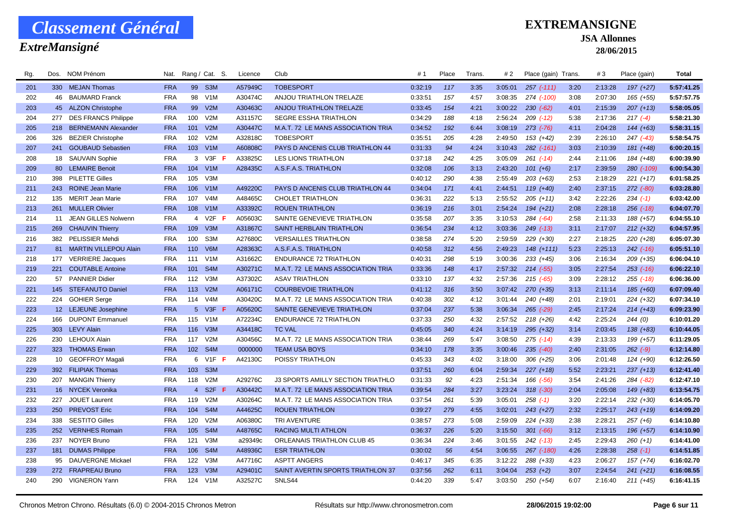### *ExtreMansigné*

### **EXTREMANSIGNE**

#### **JSA Allonnes**

| Rg. | Dos.            | <b>NOM Prénom</b>          | Nat.       |                | Rang / Cat. S.   | Licence | Club                                     | #1      | Place | Trans. | # 2     | Place (gain) Trans. |      | #3      | Place (gain)  | <b>Total</b> |
|-----|-----------------|----------------------------|------------|----------------|------------------|---------|------------------------------------------|---------|-------|--------|---------|---------------------|------|---------|---------------|--------------|
| 201 |                 | 330 MEJAN Thomas           | <b>FRA</b> |                | 99 S3M           | A57949C | <b>TOBESPORT</b>                         | 0:32:19 | 117   | 3:35   | 3:05:01 | $257$ $(-111)$      | 3:20 | 2:13:28 | 197 (+27)     | 5:57:41.25   |
| 202 | 46              | <b>BAUMARD Franck</b>      | <b>FRA</b> | 98             | V1M              | A30474C | ANJOU TRIATHLON TRELAZE                  | 0:33:51 | 157   | 4:57   | 3:08:35 | 274 (-100)          | 3:08 | 2:07:30 | $165 (+55)$   | 5:57:57.75   |
| 203 |                 | 45 ALZON Christophe        | <b>FRA</b> | 99             | V2M              | A30463C | ANJOU TRIATHLON TRELAZE                  | 0:33:45 | 154   | 4:21   | 3:00:22 | $230 (-62)$         | 4:01 | 2:15:39 | $207 (+13)$   | 5:58:05.05   |
| 204 | 277             | <b>DES FRANCS Philippe</b> | <b>FRA</b> | 100            | V2M              | A31157C | <b>SEGRE ESSHA TRIATHLON</b>             | 0:34:29 | 188   | 4:18   | 2:56:24 | $209$ $(-12)$       | 5:38 | 2:17:36 | $217(-4)$     | 5:58:21.30   |
| 205 | 218             | <b>BERNEMANN Alexander</b> | <b>FRA</b> | 101            | V2M              | A30447C | M.A.T. 72 LE MANS ASSOCIATION TRIA       | 0:34:52 | 192   | 6:44   | 3:08:19 | $273$ $(-76)$       | 4:11 | 2:04:28 | $144 (+63)$   | 5:58:31.15   |
| 206 | 326             | <b>BEZIER Christophe</b>   | <b>FRA</b> | 102            | V2M              | A32818C | <b>TOBESPORT</b>                         | 0:35:51 | 205   | 4:28   | 2:49:50 | $153 (+42)$         | 2:39 | 2:26:10 | $247$ (-43)   | 5:58:54.75   |
| 207 | 241             | <b>GOUBAUD Sebastien</b>   | <b>FRA</b> | 103            | V1M              | A60808C | PAYS D ANCENIS CLUB TRIATHLON 44         | 0:31:33 | 94    | 4:24   | 3:10:43 | 282 (-161)          | 3:03 | 2:10:39 | $181 (+48)$   | 6:00:20.15   |
| 208 | 18              | <b>SAUVAIN Sophie</b>      | <b>FRA</b> | 3              | $V3F$ F          | A33825C | <b>LES LIONS TRIATHLON</b>               | 0:37:18 | 242   | 4:25   | 3:05:09 | $261$ $(-14)$       | 2:44 | 2:11:06 | 184 (+48)     | 6:00:39.90   |
| 209 |                 | 80 LEMAIRE Benoit          | <b>FRA</b> |                | 104 V1M          | A28435C | A.S.F.A.S. TRIATHLON                     | 0:32:08 | 106   | 3:13   | 2:43:20 | $101 (+6)$          | 2:17 | 2:39:59 | 280 (-109)    | 6:00:54.30   |
| 210 | 398             | <b>PILETTE Gilles</b>      | <b>FRA</b> | 105            | V3M              |         |                                          | 0:40:12 | 290   | 4:38   | 2:55:49 | $203 (+63)$         | 2:53 | 2:18:29 | $221 (+17)$   | 6:01:58.25   |
| 211 |                 | 243 ROINE Jean Marie       | <b>FRA</b> | 106            | V1M              | A49220C | PAYS D ANCENIS CLUB TRIATHLON 44         | 0:34:04 | 171   | 4:41   | 2:44:51 | $119 (+40)$         | 2:40 | 2:37:15 | $272$ $(-80)$ | 6:03:28.80   |
| 212 | 135             | <b>MERIT Jean Marie</b>    | <b>FRA</b> | 107            | V <sub>4</sub> M | A48465C | <b>CHOLET TRIATHLON</b>                  | 0:36:31 | 222   | 5:13   | 2:55:52 | $205 (+11)$         | 3:42 | 2:22:26 | $234 (-1)$    | 6:03:42.00   |
| 213 | 261             | <b>MULLER Olivier</b>      | <b>FRA</b> | 108            | V1M              | A33392C | <b>ROUEN TRIATHLON</b>                   | 0:36:19 | 216   | 3:01   | 2:54:24 | $194 (+21)$         | 2:08 | 2:28:18 | $256$ $(-18)$ | 6:04:07.70   |
| 214 | 11              | JEAN GILLES Nolwenn        | <b>FRA</b> | $\overline{4}$ | $V2F$ F          | A05603C | SAINTE GENEVIEVE TRIATHLON               | 0:35:58 | 207   | 3:35   | 3:10:53 | $284 (-64)$         | 2:58 | 2:11:33 | 188 (+57)     | 6:04:55.10   |
| 215 | 269             | <b>CHAUVIN Thierry</b>     | <b>FRA</b> | 109            | V3M              | A31867C | SAINT HERBLAIN TRIATHLON                 | 0:36:54 | 234   | 4:12   | 3:03:36 | $249$ (-13)         | 3:11 | 2:17:07 | $212 (+32)$   | 6:04:57.95   |
| 216 |                 | 382 PELISSIER Mehdi        | <b>FRA</b> | 100            | S3M              | A27680C | <b>VERSAILLES TRIATHLON</b>              | 0:38:58 | 274   | 5:20   | 2:59:59 | $229 (+30)$         | 2:27 | 2:18:25 | 220 (+28)     | 6:05:07.30   |
| 217 |                 | 81 MARTIN VILLEPOU Alain   | <b>FRA</b> | 110            | V6M              | A28363C | A.S.F.A.S. TRIATHLON                     | 0:40:58 | 312   | 4:56   | 2:49:23 | $148 (+111)$        | 5:23 | 2:25:13 | $242$ (-16)   | 6:05:51.10   |
| 218 | 177             | <b>VERRIERE</b> Jacques    | <b>FRA</b> | 111            | V1M              | A31662C | <b>ENDURANCE 72 TRIATHLON</b>            | 0:40:31 | 298   | 5:19   | 3:00:36 | $233 (+45)$         | 3:06 | 2:16:34 | 209 (+35)     | 6:06:04.10   |
| 219 |                 | 221 COUTABLE Antoine       | <b>FRA</b> | 101            | S <sub>4</sub> M | A30271C | M.A.T. 72 LE MANS ASSOCIATION TRIA       | 0:33:36 | 148   | 4:17   | 2:57:32 | $214$ (-55)         | 3:05 | 2:27:54 | $253$ (-16)   | 6:06:22.10   |
| 220 |                 | 57 PANNIER Didier          | <b>FRA</b> | 112            | V3M              | A37302C | <b>ASAV TRIATHLON</b>                    | 0:33:10 | 137   | 4:32   | 2:57:36 | $215$ ( $-65$ )     | 3:09 | 2:28:12 | $255$ $(-18)$ | 6:06:36.00   |
| 221 |                 | 145 STEFANUTO Daniel       | <b>FRA</b> | 113            | V2M              | A06171C | <b>COURBEVOIE TRIATHLON</b>              | 0:41:12 | 316   | 3:50   | 3:07:42 | $270 (+35)$         | 3:13 | 2:11:14 | 185 (+60)     | 6:07:09.40   |
| 222 |                 | 224 GOHIER Serge           | <b>FRA</b> | 114            | V <sub>4</sub> M | A30420C | M.A.T. 72 LE MANS ASSOCIATION TRIA       | 0:40:38 | 302   | 4:12   | 3:01:44 | 240 (+48)           | 2:01 | 2:19:01 | $224 (+32)$   | 6:07:34.10   |
| 223 |                 | 12 LEJEUNE Josephine       | <b>FRA</b> | 5 <sup>5</sup> | $V3F$ F          | A05620C | SAINTE GENEVIEVE TRIATHLON               | 0:37:04 | 237   | 5:38   | 3:06:34 | $265$ $(-29)$       | 2:45 | 2:17:24 | $214 (+43)$   | 6:09:23.90   |
| 224 | 166             | <b>DUPONT Emmanuel</b>     | <b>FRA</b> | 115            | V1M              | A72234C | <b>ENDURANCE 72 TRIATHLON</b>            | 0:37:33 | 250   | 4:32   | 2:57:52 | $218 (+26)$         | 4:42 | 2:25:24 | 244(0)        | 6:10:01.20   |
| 225 |                 | 303 LEVY Alain             | <b>FRA</b> | 116            | V3M              | A34418C | <b>TC VAL</b>                            | 0:45:05 | 340   | 4:24   | 3:14:19 | $295 (+32)$         | 3:14 | 2:03:45 | $138 (+83)$   | 6:10:44.05   |
| 226 | 230             | LEHOUX Alain               | <b>FRA</b> | 117            | V2M              | A30456C | M.A.T. 72 LE MANS ASSOCIATION TRIA       | 0:38:44 | 269   | 5:47   | 3:08:50 | $275$ (-14)         | 4:39 | 2:13:33 | 199 (+57)     | 6:11:29.05   |
| 227 |                 | 323 THOMAS Erwan           | <b>FRA</b> | 102            | S <sub>4</sub> M | 0000000 | <b>TEAM USA BOYS</b>                     | 0:34:10 | 178   | 3:35   | 3:00:46 | $235$ $(-40)$       | 2:40 | 2:31:05 | $262 (-9)$    | 6:12:14.80   |
| 228 | 10 <sup>°</sup> | <b>GEOFFROY Magali</b>     | <b>FRA</b> | 6              | $V1F$ F          | A42130C | POISSY TRIATHLON                         | 0:45:33 | 343   | 4:02   | 3:18:00 | $306 (+25)$         | 3:06 | 2:01:48 | $124 (+90)$   | 6:12:26.50   |
| 229 |                 | 392 FILIPIAK Thomas        | <b>FRA</b> | 103            | S <sub>3</sub> M |         |                                          | 0:37:51 | 260   | 6:04   | 2:59:34 | $227 (+18)$         | 5:52 | 2:23:21 | $237 (+13)$   | 6:12:41.40   |
| 230 | 207             | <b>MANGIN Thierry</b>      | <b>FRA</b> | 118            | V2M              | A29276C | <b>J3 SPORTS AMILLY SECTION TRIATHLO</b> | 0:31:33 | 92    | 4:23   | 2:51:34 | 166 (-56)           | 3:54 | 2:41:26 | 284 (-82)     | 6:12:47.10   |
| 231 |                 | 16 NYCEK Veronika          | <b>FRA</b> | $\overline{4}$ | S2F<br>-F        | A30442C | M.A.T. 72 LE MANS ASSOCIATION TRIA       | 0:39:54 | 284   | 3:27   | 3:23:24 | $318$ $(-30)$       | 2:04 | 2:05:08 | $149 (+83)$   | 6:13:54.75   |
| 232 | 227             | JOUET Laurent              | <b>FRA</b> | 119            | V2M              | A30264C | M.A.T. 72 LE MANS ASSOCIATION TRIA       | 0:37:54 | 261   | 5:39   | 3:05:01 | $258(-1)$           | 3:20 | 2:22:14 | $232 (+30)$   | 6:14:05.70   |
| 233 | 250             | <b>PREVOST Eric</b>        | <b>FRA</b> | 104            | S <sub>4</sub> M | A44625C | <b>ROUEN TRIATHLON</b>                   | 0:39:27 | 279   | 4:55   | 3:02:01 | $243 (+27)$         | 2:32 | 2:25:17 | $243 (+19)$   | 6:14:09.20   |
| 234 | 338             | <b>SESTITO Gilles</b>      | <b>FRA</b> | 120            | V2M              | A06380C | TRI AVENTURE                             | 0:38:57 | 273   | 5:08   | 2:59:09 | $224 (+33)$         | 2:38 | 2:28:21 | $257 (+6)$    | 6:14:10.80   |
| 235 | 252             | <b>VERNHES Romain</b>      | <b>FRA</b> | 105            | S <sub>4</sub> M | A48765C | <b>RACING MULTI ATHLON</b>               | 0:36:37 | 226   | 5:20   | 3:15:50 | $301 (-66)$         | 3:12 | 2:13:15 | 196 (+57)     | 6:14:10.90   |
| 236 | 237             | <b>NOYER Bruno</b>         | <b>FRA</b> | 121            | V3M              | a29349c | <b>ORLEANAIS TRIATHLON CLUB 45</b>       | 0:36:34 | 224   | 3:46   | 3:01:55 | $242$ (-13)         | 2:45 | 2:29:43 | $260 (+1)$    | 6:14:41.00   |
| 237 | 181             | <b>DUMAS Philippe</b>      | <b>FRA</b> | 106            | S <sub>4</sub> M | A48936C | <b>ESR TRIATHLON</b>                     | 0:30:02 | 56    | 4:54   | 3:06:55 | 267 (-180)          | 4:26 | 2:28:38 | $258(-1)$     | 6:14:51.85   |
| 238 | 95              | <b>DAUVERGNE Mickael</b>   | <b>FRA</b> | 122            | V3M              | A47716C | <b>ASPTT ANGERS</b>                      | 0:46:17 | 345   | 6:35   | 3:12:22 | 288 (+33)           | 4:23 | 2:06:27 | 157 (+74)     | 6:16:02.70   |
| 239 | 272             | <b>FRAPREAU Bruno</b>      | <b>FRA</b> | 123            | V3M              | A29401C | SAINT AVERTIN SPORTS TRIATHLON 37        | 0:37:56 | 262   | 6:11   | 3:04:04 | $253 (+2)$          | 3:07 | 2:24:54 | $241 (+21)$   | 6:16:08.55   |
| 240 | 290             | <b>VIGNERON Yann</b>       | <b>FRA</b> | 124            | V1M              | A32527C | SNLS44                                   | 0:44:20 | 339   | 5:47   | 3:03:50 | $250 (+54)$         | 6:07 | 2:16:40 | $211 (+45)$   | 6:16:41.15   |
|     |                 |                            |            |                |                  |         |                                          |         |       |        |         |                     |      |         |               |              |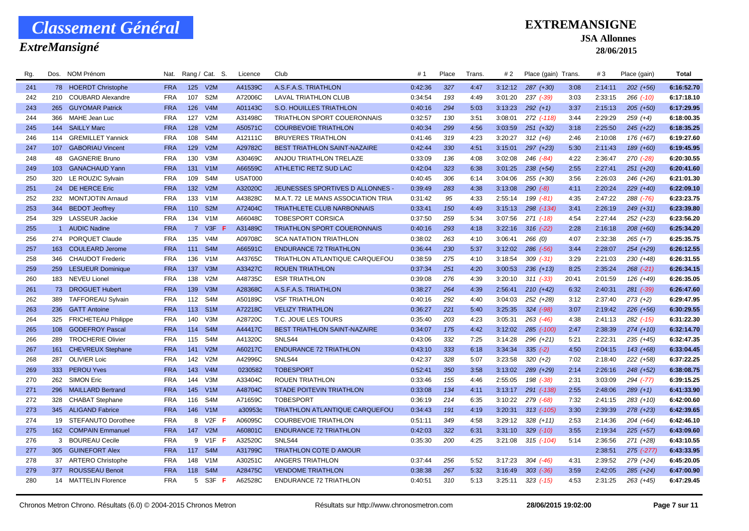### *ExtreMansigné*

### **EXTREMANSIGNE**

#### **JSA Allonnes**

| Rg. | Dos. | NOM Prénom                 | Nat.       |             | Rang / Cat. S.         | Licence        | Club                                  | #1      | Place | Trans. | # 2     | Place (gain) Trans. |       | #3      | Place (gain)   | <b>Total</b> |
|-----|------|----------------------------|------------|-------------|------------------------|----------------|---------------------------------------|---------|-------|--------|---------|---------------------|-------|---------|----------------|--------------|
| 241 |      | 78 HOERDT Christophe       | <b>FRA</b> |             | 125 V2M                | A41539C        | A.S.F.A.S. TRIATHLON                  | 0:42:36 | 327   | 4:47   | 3:12:12 | $287 (+30)$         | 3:08  | 2:14:11 | $202 (+56)$    | 6:16:52.70   |
| 242 | 210  | <b>COUBARD Alexandre</b>   | <b>FRA</b> | 107         | S <sub>2</sub> M       | A72006C        | <b>LAVAL TRIATHLON CLUB</b>           | 0:34:54 | 193   | 4:49   | 3:01:20 | 237 (-39)           | 3:03  | 2:33:15 | $266$ $(-10)$  | 6:17:18.10   |
| 243 | 265  | <b>GUYOMAR Patrick</b>     | <b>FRA</b> | 126         | V4M                    | A01143C        | <b>S.O. HOUILLES TRIATHLON</b>        | 0:40:16 | 294   | 5:03   | 3:13:23 | $292 (+1)$          | 3:37  | 2:15:13 | $205 (+50)$    | 6:17:29.95   |
| 244 | 366  | <b>MAHE Jean Luc</b>       | <b>FRA</b> | 127         | V2M                    | A31498C        | TRIATHLON SPORT COUERONNAIS           | 0:32:57 | 130   | 3:51   | 3:08:01 | 272 (-118)          | 3:44  | 2:29:29 | $259(+4)$      | 6:18:00.35   |
| 245 | 144  | <b>SAILLY Marc</b>         | <b>FRA</b> | 128         | V2M                    | A50571C        | <b>COURBEVOIE TRIATHLON</b>           | 0:40:34 | 299   | 4:56   | 3:03:59 | $251 (+32)$         | 3:18  | 2:25:50 | $245 (+22)$    | 6:18:35.25   |
| 246 |      | 114 GREMILLET Yannick      | <b>FRA</b> | 108         | S4M                    | A12111C        | <b>BRUYERES TRIATHLON</b>             | 0:41:46 | 319   | 4:23   | 3:20:27 | $312 (+6)$          | 2:46  | 2:10:08 | 176 (+67)      | 6:19:27.60   |
| 247 | 107  | <b>GABORIAU Vincent</b>    | <b>FRA</b> | 129         | V2M                    | A29782C        | <b>BEST TRIATHLON SAINT-NAZAIRE</b>   | 0:42:44 | 330   | 4:51   | 3:15:01 | $297 (+23)$         | 5:30  | 2:11:43 | 189 (+60)      | 6:19:45.95   |
| 248 | 48   | <b>GAGNERIE Bruno</b>      | <b>FRA</b> | 130         | V3M                    | A30469C        | ANJOU TRIATHLON TRELAZE               | 0:33:09 | 136   | 4:08   | 3:02:08 | 246 (-84)           | 4:22  | 2:36:47 | 270 (-28)      | 6:20:30.55   |
| 249 |      | 103 GANACHAUD Yann         | <b>FRA</b> |             | 131 V1M                | A66559C        | ATHLETIC RETZ SUD LAC                 | 0:42:04 | 323   | 6:38   | 3:01:25 | $238 (+54)$         | 2:55  | 2:27:41 | $251 (+20)$    | 6:20:41.60   |
| 250 |      | 320 LE ROUZIC Sylvain      | <b>FRA</b> | 109         | S4M                    | <b>USAT000</b> |                                       | 0:40:45 | 306   | 6:14   | 3:04:06 | $255 (+30)$         | 3:56  | 2:26:03 | $246 (+26)$    | 6:21:01.30   |
| 251 |      | 24 DE HERCE Eric           | <b>FRA</b> | 132         | V2M                    | A32020C        | JEUNESSES SPORTIVES D ALLONNES -      | 0:39:49 | 283   | 4:38   | 3:13:08 | $290 (-8)$          | 4:11  | 2:20:24 | $229 (+40)$    | 6:22:09.10   |
| 252 |      | 232 MONTJOTIN Arnaud       | <b>FRA</b> | 133         | V1M                    | A43828C        | M.A.T. 72 LE MANS ASSOCIATION TRIA    | 0:31:42 | 95    | 4:33   | 2:55:14 | 199 (-81)           | 4:35  | 2:47:22 | $288$ $(-76)$  | 6:23:23.75   |
| 253 | 344  | <b>BEDOT Jeoffrey</b>      | <b>FRA</b> | 110         | S <sub>2</sub> M       | A72404C        | TRIATHLETE CLUB NARBONNAIS            | 0:33:41 | 150   | 4:49   | 3:15:13 | 298 (-134)          | 3:41  | 2:26:19 | $249 (+31)$    | 6:23:39.80   |
| 254 | 329  | <b>LASSEUR Jackie</b>      | <b>FRA</b> | 134         | V1M                    | A66048C        | <b>TOBESPORT CORSICA</b>              | 0:37:50 | 259   | 5:34   | 3:07:56 | $271$ (-18)         | 4:54  | 2:27:44 | $252 (+23)$    | 6:23:56.20   |
| 255 |      | 1 AUDIC Nadine             | <b>FRA</b> | $7^{\circ}$ | $V3F$ F                | A31489C        | <b>TRIATHLON SPORT COUERONNAIS</b>    | 0:40:16 | 293   | 4:18   | 3:22:16 | $316$ (-22)         | 2:28  | 2:16:18 | $208 (+60)$    | 6:25:34.20   |
| 256 | 274  | PORQUET Claude             | <b>FRA</b> | 135         | V <sub>4</sub> M       | A09708C        | <b>SCA NATATION TRIATHLON</b>         | 0:38:02 | 263   | 4:10   | 3:06:41 | 266(0)              | 4:07  | 2:32:38 | $265 (+7)$     | 6:25:35.75   |
| 257 |      | 163 COULEARD Jerome        | <b>FRA</b> | 111         | S <sub>4</sub> M       | A66591C        | <b>ENDURANCE 72 TRIATHLON</b>         | 0:36:44 | 230   | 5:37   | 3:12:02 | $286$ $(-56)$       | 3:44  | 2:28:07 | $254 (+29)$    | 6:26:12.55   |
| 258 | 346  | <b>CHAUDOT Frederic</b>    | <b>FRA</b> | 136         | V1M                    | A43765C        | TRIATHLON ATLANTIQUE CARQUEFOU        | 0:38:59 | 275   | 4:10   | 3:18:54 | $309$ $(-31)$       | 3:29  | 2:21:03 | 230 (+48)      | 6:26:31.55   |
| 259 |      | 259 LESUEUR Dominique      | <b>FRA</b> | 137         | V3M                    | A33427C        | <b>ROUEN TRIATHLON</b>                | 0:37:34 | 251   | 4:20   | 3:00:53 | $236 (+13)$         | 8:25  | 2:35:24 | $268$ $(-21)$  | 6:26:34.15   |
| 260 |      | 183 NEVEU Lionel           | <b>FRA</b> | 138         | V2M                    | A48735C        | <b>ESR TRIATHLON</b>                  | 0:39:08 | 276   | 4:39   | 3:20:10 | $311 (-33)$         | 20:41 | 2:01:59 | 126 (+49)      | 6:26:35.05   |
| 261 |      | 73 DROGUET Hubert          | <b>FRA</b> | 139         | V3M                    | A28368C        | A.S.F.A.S. TRIATHLON                  | 0:38:27 | 264   | 4:39   | 2:56:41 | $210 (+42)$         | 6:32  | 2:40:31 | $281 (-39)$    | 6:26:47.60   |
| 262 | 389  | <b>TAFFOREAU Sylvain</b>   | <b>FRA</b> | 112         | S4M                    | A50189C        | <b>VSF TRIATHLON</b>                  | 0:40:16 | 292   | 4:40   | 3:04:03 | 252 (+28)           | 3:12  | 2:37:40 | $273 (+2)$     | 6:29:47.95   |
| 263 | 236  | <b>GATT Antoine</b>        | <b>FRA</b> | 113         | S <sub>1</sub> M       | A72218C        | <b>VELIZY TRIATHLON</b>               | 0:36:27 | 221   | 5:40   | 3:25:35 | $324 (-98)$         | 3:07  | 2:19:42 | $226 (+56)$    | 6:30:29.55   |
| 264 | 325  | <b>FRICHETEAU Philippe</b> | <b>FRA</b> | 140         | V3M                    | A28720C        | T.C. JOUE LES TOURS                   | 0:35:40 | 203   | 4:23   | 3:05:31 | $263$ $(-46)$       | 4:38  | 2:41:13 | $282$ $(-15)$  | 6:31:22.30   |
| 265 | 108  | <b>GODEFROY Pascal</b>     | <b>FRA</b> | 114         | S <sub>4</sub> M       | A44417C        | <b>BEST TRIATHLON SAINT-NAZAIRE</b>   | 0:34:07 | 175   | 4:42   | 3:12:02 | 285 (-100)          | 2:47  | 2:38:39 | $274 (+10)$    | 6:32:14.70   |
| 266 | 289  | <b>TROCHERIE Olivier</b>   | <b>FRA</b> | 115         | S4M                    | A41320C        | SNLS44                                | 0:43:06 | 332   | 7:25   | 3:14:28 | $296 (+21)$         | 5:21  | 2:22:31 | $235 (+45)$    | 6:32:47.35   |
| 267 |      | 161 CHEVREUX Stephane      | <b>FRA</b> | 141         | V2M                    | A60217C        | <b>ENDURANCE 72 TRIATHLON</b>         | 0:43:10 | 333   | 6:18   | 3:34:34 | $335(-2)$           | 4:50  | 2:04:15 | $143 (+68)$    | 6:33:04.45   |
| 268 | 287  | <b>OLIVIER Loic</b>        | <b>FRA</b> | 142         | V2M                    | A42996C        | SNLS44                                | 0:42:37 | 328   | 5:07   | 3:23:58 | $320 (+2)$          | 7:02  | 2:18:40 | 222 (+58)      | 6:37:22.25   |
| 269 | 333  | <b>PEROU Yves</b>          | <b>FRA</b> | 143         | V4M                    | 0230582        | <b>TOBESPORT</b>                      | 0:52:41 | 350   | 3:58   | 3:13:02 | 289 (+29)           | 2:14  | 2:26:16 | $248 (+52)$    | 6:38:08.75   |
| 270 | 262  | <b>SIMON Eric</b>          | <b>FRA</b> | 144         | V3M                    | A33404C        | <b>ROUEN TRIATHLON</b>                | 0:33:46 | 155   | 4:46   | 2:55:05 | 198 (-38)           | 2:31  | 3:03:09 | 294 (-77)      | 6:39:15.25   |
| 271 | 296  | <b>MAILLARD Bertrand</b>   | <b>FRA</b> | 145         | V <sub>1</sub> M       | A48704C        | <b>STADE POITEVIN TRIATHLON</b>       | 0:33:08 | 134   | 4:11   | 3:13:17 | 291 (-138)          | 2:55  | 2:48:06 | $289 (+1)$     | 6:41:33.90   |
| 272 | 328  | <b>CHABAT Stephane</b>     | <b>FRA</b> | 116         | S4M                    | A71659C        | <b>TOBESPORT</b>                      | 0:36:19 | 214   | 6:35   | 3:10:22 | $279$ (-68)         | 7:32  | 2:41:15 | $283 (+10)$    | 6:42:00.60   |
| 273 |      | 345 ALIGAND Fabrice        | <b>FRA</b> | 146         | V1M                    | a30953c        | <b>TRIATHLON ATLANTIQUE CARQUEFOU</b> | 0:34:43 | 191   | 4:19   | 3:20:31 | $313$ $(-105)$      | 3:30  | 2:39:39 | $278 (+23)$    | 6:42:39.65   |
| 274 | 19   | STEFANUTO Dorothee         | <b>FRA</b> | 8           | $V2F$ F                | A06095C        | <b>COURBEVOIE TRIATHLON</b>           | 0:51:11 | 349   | 4:58   | 3:29:12 | $328 (+11)$         | 2:53  | 2:14:36 | $204 (+64)$    | 6:42:46.10   |
| 275 |      | 162 COMPAIN Emmanuel       | <b>FRA</b> | 147         | V2M                    | A60801C        | <b>ENDURANCE 72 TRIATHLON</b>         | 0:42:03 | 322   | 6:31   | 3:31:10 | $329$ $(-10)$       | 3:55  | 2:19:34 | $225 (+57)$    | 6:43:09.60   |
| 276 |      | 3 BOUREAU Cecile           | <b>FRA</b> | 9           | V <sub>1</sub> $F$ $F$ | A32520C        | SNLS44                                | 0:35:30 | 200   | 4:25   | 3:21:08 | $315$ (-104)        | 5:14  | 2:36:56 | $271 (+28)$    | 6:43:10.55   |
| 277 |      | 305 GUINEFORT Alex         | <b>FRA</b> | 117         | S <sub>4</sub> M       | A31799C        | <b>TRIATHLON COTE D AMOUR</b>         |         |       |        |         |                     |       | 2:38:51 | $275$ $(-277)$ | 6:43:33.95   |
| 278 |      | 37 ARTERO Christophe       | <b>FRA</b> | 148         | V1M                    | A30251C        | ANGERS TRIATHLON                      | 0:37:44 | 256   | 5:52   | 3:17:23 | $304$ $(-46)$       | 4:31  | 2:39:52 | 279 (+24)      | 6:45:20.05   |
| 279 | 377  | <b>ROUSSEAU Benoit</b>     | <b>FRA</b> | 118         | S <sub>4</sub> M       | A28475C        | <b>VENDOME TRIATHLON</b>              | 0:38:38 | 267   | 5:32   | 3:16:49 | $303$ $(-36)$       | 3:59  | 2:42:05 | $285 (+24)$    | 6:47:00.90   |
| 280 |      | 14 MATTELIN Florence       | <b>FRA</b> |             | 5 S3F F                | A62528C        | <b>ENDURANCE 72 TRIATHLON</b>         | 0:40:51 | 310   | 5:13   | 3:25:11 | $323$ (-15)         | 4:53  | 2:31:25 | $263 (+45)$    | 6:47:29.45   |
|     |      |                            |            |             |                        |                |                                       |         |       |        |         |                     |       |         |                |              |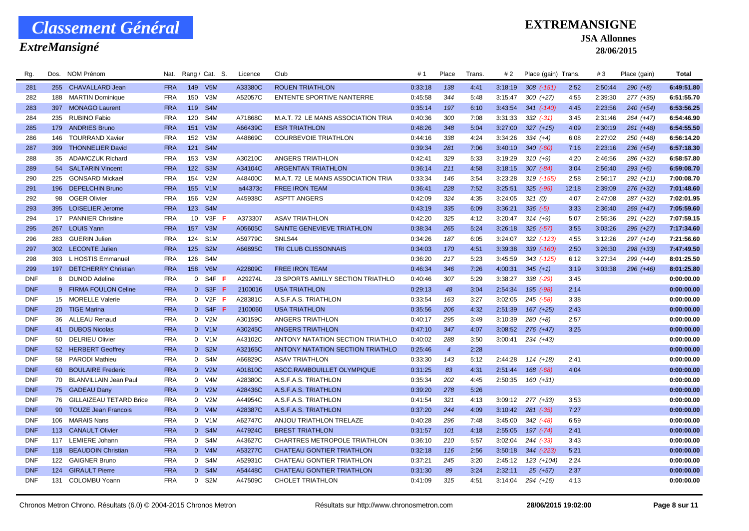### *ExtreMansigné*

### **EXTREMANSIGNE**

**JSA Allonnes**

| Rg.        | Dos. | NOM Prénom                 | Nat.       |                 | Rang / Cat. S.    | Licence | Club                                     | #1      | Place          | Trans. | # 2     | Place (gain) Trans. |       | #3      | Place (gain) | Total      |
|------------|------|----------------------------|------------|-----------------|-------------------|---------|------------------------------------------|---------|----------------|--------|---------|---------------------|-------|---------|--------------|------------|
| 281        |      | 255 CHAVALLARD Jean        | <b>FRA</b> |                 | 149 V5M           | A33380C | <b>ROUEN TRIATHLON</b>                   | 0:33:18 | 138            | 4:41   | 3:18:19 | $308$ $(-151)$      | 2:52  | 2:50:44 | $290 (+8)$   | 6:49:51.80 |
| 282        | 188  | <b>MARTIN Dominique</b>    | <b>FRA</b> | 150             | V3M               | A52057C | ENTENTE SPORTIVE NANTERRE                | 0:45:58 | 344            | 5:48   | 3:15:47 | $300 (+27)$         | 4:55  | 2:39:30 | 277 (+35)    | 6:51:55.70 |
| 283        |      | 397 MONAGO Laurent         | <b>FRA</b> |                 | 119 S4M           |         |                                          | 0:35:14 | 197            | 6:10   | 3:43:54 | $341$ (-140)        | 4:45  | 2:23:56 | 240 (+54)    | 6:53:56.25 |
| 284        | 235  | <b>RUBINO Fabio</b>        | <b>FRA</b> | 120             | S <sub>4</sub> M  | A71868C | M.A.T. 72 LE MANS ASSOCIATION TRIA       | 0:40:36 | 300            | 7:08   | 3:31:33 | $332$ $(-31)$       | 3:45  | 2:31:46 | $264 (+47)$  | 6:54:46.90 |
| 285        |      | 179 ANDRIES Bruno          | <b>FRA</b> | 151             | V3M               | A66439C | <b>ESR TRIATHLON</b>                     | 0:48:26 | 348            | 5:04   | 3:27:00 | $327 (+15)$         | 4:09  | 2:30:19 | $261 (+48)$  | 6:54:55.50 |
| 286        | 146  | <b>TOURRAND Xavier</b>     | <b>FRA</b> | 152             | V3M               | A48869C | <b>COURBEVOIE TRIATHLON</b>              | 0:44:16 | 338            | 4:24   | 3:34:26 | $334 (+4)$          | 6:08  | 2:27:02 | 250 (+48)    | 6:56:14.20 |
| 287        |      | 399 THONNELIER David       | <b>FRA</b> | 121             | S <sub>4</sub> M  |         |                                          | 0:39:34 | 281            | 7:06   | 3:40:10 | $340 (-60)$         | 7:16  | 2:23:16 | $236 (+54)$  | 6:57:18.30 |
| 288        | 35   | <b>ADAMCZUK Richard</b>    | <b>FRA</b> | 153             | V3M               | A30210C | ANGERS TRIATHLON                         | 0:42:41 | 329            | 5:33   | 3:19:29 | $310 (+9)$          | 4:20  | 2:46:56 | 286 (+32)    | 6:58:57.80 |
| 289        |      | 54 SALTARIN Vincent        | <b>FRA</b> | 122             | S <sub>3</sub> M  | A34104C | <b>ARGENTAN TRIATHLON</b>                | 0:36:14 | 211            | 4:58   | 3:18:15 | $307 (-84)$         | 3:04  | 2:56:40 | $293 (+6)$   | 6:59:08.70 |
| 290        |      | 225 GONSARD Mickael        | <b>FRA</b> | 154             | V2M               | A48400C | M.A.T. 72 LE MANS ASSOCIATION TRIA       | 0:33:34 | 146            | 3:54   | 3:23:28 | 319 (-155)          | 2:58  | 2:56:17 | $292 (+11)$  | 7:00:08.70 |
| 291        |      | 196 DEPELCHIN Bruno        | <b>FRA</b> | 155             | V1M               | a44373c | <b>FREE IRON TEAM</b>                    | 0:36:41 | 228            | 7:52   | 3:25:51 | $325$ $(-95)$       | 12:18 | 2:39:09 | $276 (+32)$  | 7:01:48.60 |
| 292        | 98   | <b>OGER Olivier</b>        | <b>FRA</b> | 156             | V2M               | A45938C | <b>ASPTT ANGERS</b>                      | 0:42:09 | 324            | 4:35   | 3:24:05 | 321(0)              | 4:07  | 2:47:08 | 287 (+32)    | 7:02:01.95 |
| 293        |      | 395 LOISELIER Jerome       | <b>FRA</b> |                 | 123 S4M           |         |                                          | 0:43:19 | 335            | 6:09   | 3:36:21 | $336(-5)$           | 3:33  | 2:36:40 | $269 (+47)$  | 7:05:59.60 |
| 294        |      | 17 PANNIER Christine       | <b>FRA</b> | 10 <sup>°</sup> | $V3F$ F           | A373307 | <b>ASAV TRIATHLON</b>                    | 0:42:20 | 325            | 4:12   | 3:20:47 | $314 (+9)$          | 5:07  | 2:55:36 | 291 (+22)    | 7:07:59.15 |
| 295        |      | 267 LOUIS Yann             | <b>FRA</b> | 157             | V3M               | A05605C | SAINTE GENEVIEVE TRIATHLON               | 0:38:34 | 265            | 5:24   | 3:26:18 | $326$ $(-57)$       | 3:55  | 3:03:26 | 295 (+27)    | 7:17:34.60 |
| 296        |      | 283 GUERIN Julien          | <b>FRA</b> | 124             | S <sub>1</sub> M  | A59779C | SNLS44                                   | 0:34:26 | 187            | 6:05   | 3:24:07 | 322 (-123)          | 4:55  | 3:12:26 | $297 (+14)$  | 7:21:56.60 |
| 297        |      | 302 LECONTE Julien         | <b>FRA</b> | 125             | S <sub>2M</sub>   | A66895C | TRI CLUB CLISSONNAIS                     | 0:34:03 | 170            | 4:51   | 3:39:38 | 339 (-160)          | 2:50  | 3:26:30 | 298 (+33)    | 7:47:49.50 |
| 298        | 393  | L HOSTIS Emmanuel          | <b>FRA</b> | 126             | S4M               |         |                                          | 0:36:20 | 217            | 5:23   | 3:45:59 | 343 (-125)          | 6:12  | 3:27:34 | 299 (+44)    | 8:01:25.50 |
| 299        |      | 197 DETCHERRY Christian    | <b>FRA</b> | 158             | V6M               | A22809C | <b>FREE IRON TEAM</b>                    | 0:46:34 | 346            | 7:26   | 4:00:31 | $345 (+1)$          | 3:19  | 3:03:38 | 296 (+46)    | 8:01:25.80 |
| <b>DNF</b> |      | 8 DUNOD Adeline            | <b>FRA</b> | $\overline{0}$  | S4F F             | A29274L | <b>J3 SPORTS AMILLY SECTION TRIATHLO</b> | 0:40:46 | 307            | 5:29   | 3:38:27 | $338$ $(-29)$       | 3:45  |         |              | 0:00:00.00 |
| <b>DNF</b> |      | 9 FIRMA FOULON Celine      | <b>FRA</b> | $\Omega$        | S3F F             | 2100016 | <b>USA TRIATHLON</b>                     | 0:29:13 | 48             | 3:04   | 2:54:34 | 195 (-98)           | 2:14  |         |              | 0:00:00.00 |
| <b>DNF</b> |      | 15 MORELLE Valerie         | <b>FRA</b> | $\Omega$        | $V2F$ F           | A28381C | A.S.F.A.S. TRIATHLON                     | 0:33:54 | 163            | 3:27   | 3:02:05 | $245$ ( $-58$ )     | 3:38  |         |              | 0:00:00.00 |
| <b>DNF</b> |      | 20 TIGE Marina             | <b>FRA</b> | $\overline{0}$  | S <sub>4F</sub> F | 2100060 | <b>USA TRIATHLON</b>                     | 0:35:56 | 206            | 4:32   | 2:51:39 | 167 (+25)           | 2:43  |         |              | 0:00:00.00 |
| <b>DNF</b> |      | 36 ALLEAU Renaud           | <b>FRA</b> |                 | 0 V2M             | A30159C | ANGERS TRIATHLON                         | 0:40:17 | 295            | 3:49   | 3:10:39 | $280 (+8)$          | 2:57  |         |              | 0:00:00.00 |
| <b>DNF</b> |      | 41 DUBOS Nicolas           | <b>FRA</b> |                 | 0 V1M             | A30245C | <b>ANGERS TRIATHLON</b>                  | 0:47:10 | 347            | 4:07   | 3:08:52 | $276 (+47)$         | 3:25  |         |              | 0:00:00.00 |
| <b>DNF</b> |      | 50 DELRIEU Olivier         | <b>FRA</b> | $\overline{0}$  | V1M               | A43102C | ANTONY NATATION SECTION TRIATHLO         | 0:40:02 | 288            | 3:50   | 3:00:41 | $234 (+43)$         |       |         |              | 0:00:00.00 |
| <b>DNF</b> |      | 52 HERBERT Geoffrey        | <b>FRA</b> |                 | 0 S2M             | A32165C | ANTONY NATATION SECTION TRIATHLO         | 0:25:46 | $\overline{4}$ | 2:28   |         |                     |       |         |              | 0:00:00.00 |
| <b>DNF</b> |      | 58 PARODI Mathieu          | <b>FRA</b> | $\overline{0}$  | S4M               | A66829C | <b>ASAV TRIATHLON</b>                    | 0:33:30 | 143            | 5:12   | 2:44:28 | $114 (+18)$         | 2:41  |         |              | 0:00:00.00 |
| <b>DNF</b> |      | 60 BOULAIRE Frederic       | <b>FRA</b> |                 | 0 V2M             | A01810C | ASCC.RAMBOUILLET OLYMPIQUE               | 0:31:25 | 83             | 4:31   | 2:51:44 | 168 (-68)           | 4:04  |         |              | 0:00:00.00 |
| <b>DNF</b> |      | 70 BLANVILLAIN Jean Paul   | <b>FRA</b> | $\overline{0}$  | V <sub>4</sub> M  | A28380C | A.S.F.A.S. TRIATHLON                     | 0:35:34 | 202            | 4:45   | 2:50:35 | 160 (+31)           |       |         |              | 0:00:00.00 |
| <b>DNF</b> |      | 75 GADEAU Dany             | <b>FRA</b> | $\overline{0}$  | V2M               | A28436C | A.S.F.A.S. TRIATHLON                     | 0:39:20 | 278            | 5:26   |         |                     |       |         |              | 0:00:00.00 |
| <b>DNF</b> |      | 76 GILLAIZEAU TETARD Brice | <b>FRA</b> |                 | 0 V2M             | A44954C | A.S.F.A.S. TRIATHLON                     | 0:41:54 | 321            | 4:13   | 3:09:12 | $277 (+33)$         | 3:53  |         |              | 0:00:00.00 |
| <b>DNF</b> |      | 90 TOUZE Jean Francois     | <b>FRA</b> |                 | 0 V4M             | A28387C | A.S.F.A.S. TRIATHLON                     | 0:37:20 | 244            | 4:09   | 3:10:42 | $281 (-35)$         | 7:27  |         |              | 0:00:00.00 |
| <b>DNF</b> | 106  | <b>MARAIS Nans</b>         | <b>FRA</b> | $\mathbf{0}$    | V1M               | A62747C | ANJOU TRIATHLON TRELAZE                  | 0:40:28 | 296            | 7:48   | 3:45:00 | $342$ $(-48)$       | 6:59  |         |              | 0:00:00.00 |
| <b>DNF</b> |      | 113 CANAULT Olivier        | <b>FRA</b> |                 | 0 S4M             | A47924C | <b>BREST TRIATHLON</b>                   | 0:31:57 | 101            | 4:18   | 2:55:05 | $197 (-74)$         | 2:41  |         |              | 0:00:00.00 |
| <b>DNF</b> |      | 117 LEMIERE Johann         | <b>FRA</b> | $\overline{0}$  | S4M               | A43627C | CHARTRES METROPOLE TRIATHLON             | 0:36:10 | 210            | 5:57   | 3:02:04 | $244 (-33)$         | 3:43  |         |              | 0:00:00.00 |
| <b>DNF</b> |      | 118 BEAUDOIN Christian     | <b>FRA</b> | $\Omega$        | V4M               | A53277C | <b>CHATEAU GONTIER TRIATHLON</b>         | 0:32:18 | 116            | 2:56   | 3:50:18 | 344 (-223)          | 5:21  |         |              | 0:00:00.00 |
| <b>DNF</b> |      | 122 GAIGNER Bruno          | <b>FRA</b> | $\overline{0}$  | S4M               | A52931C | CHATEAU GONTIER TRIATHLON                | 0:37:21 | 245            | 3:20   | 2:45:12 | 123 (+104)          | 2:24  |         |              | 0:00:00.00 |
| <b>DNF</b> | 124  | <b>GIRAULT Pierre</b>      | <b>FRA</b> | $\overline{0}$  | S <sub>4</sub> M  | A54448C | <b>CHATEAU GONTIER TRIATHLON</b>         | 0:31:30 | 89             | 3:24   | 2:32:11 | $25 (+57)$          | 2:37  |         |              | 0:00:00.00 |
| <b>DNF</b> |      | 131 COLOMBU Yoann          | <b>FRA</b> | $\overline{0}$  | S2M               | A47509C | <b>CHOLET TRIATHLON</b>                  | 0:41:09 | 315            | 4:51   | 3:14:04 | $294 (+16)$         | 4:13  |         |              | 0:00:00.00 |
|            |      |                            |            |                 |                   |         |                                          |         |                |        |         |                     |       |         |              |            |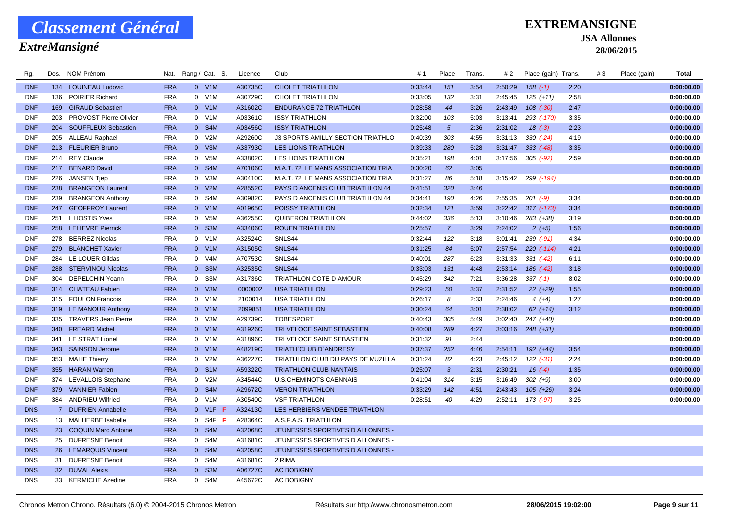### *ExtreMansigné*

### **EXTREMANSIGNE**

**JSA Allonnes**

| Rg.        |     | Dos. NOM Prénom         | Nat.       |                | Rang / Cat. S.   | Licence | Club                               | # 1     | Place           | Trans. | # 2     | Place (gain) Trans.    |      | #3 | Place (gain) | Total      |
|------------|-----|-------------------------|------------|----------------|------------------|---------|------------------------------------|---------|-----------------|--------|---------|------------------------|------|----|--------------|------------|
| <b>DNF</b> |     | 134 LOUINEAU Ludovic    | <b>FRA</b> |                | $0$ V1M          | A30735C | <b>CHOLET TRIATHLON</b>            | 0:33:44 | 151             | 3:54   | 2:50:29 | $158$ $(-1)$           | 2:20 |    |              | 0:00:00.00 |
| <b>DNF</b> | 136 | POIRIER Richard         | <b>FRA</b> |                | 0 V1M            | A30729C | CHOLET TRIATHLON                   | 0:33:05 | 132             | 3:31   | 2:45:45 | $125 (+11)$            | 2:58 |    |              | 0:00:00.00 |
| <b>DNF</b> |     | 169 GIRAUD Sebastien    | <b>FRA</b> |                | 0 V1M            | A31602C | <b>ENDURANCE 72 TRIATHLON</b>      | 0:28:58 | 44              | 3:26   | 2:43:49 | $108$ $(-30)$          | 2:47 |    |              | 0:00:00.00 |
| <b>DNF</b> | 203 | PROVOST Pierre Olivier  | <b>FRA</b> |                | 0 V1M            | A03361C | <b>ISSY TRIATHLON</b>              | 0:32:00 | 103             | 5:03   | 3:13:41 | 293 (-170)             | 3:35 |    |              | 0:00:00.00 |
| <b>DNF</b> | 204 | SOUFFLEUX Sebastien     | <b>FRA</b> |                | 0 S4M            | A03456C | <b>ISSY TRIATHLON</b>              | 0:25:48 | $5\overline{)}$ | 2:36   | 2:31:02 | $18(-3)$               | 2:23 |    |              | 0:00:00.00 |
| <b>DNF</b> |     | 205 ALLEAU Raphael      | <b>FRA</b> |                | 0 V2M            | A29260C | J3 SPORTS AMILLY SECTION TRIATHLO  | 0:40:39 | 303             | 4:55   | 3:31:13 | $330 (-24)$            | 4:19 |    |              | 0:00:00.00 |
| <b>DNF</b> |     | 213 FLEURIER Bruno      | <b>FRA</b> |                | 0 V3M            | A33793C | <b>LES LIONS TRIATHLON</b>         | 0:39:33 | 280             | 5:28   | 3:31:47 | $333 (-48)$            | 3:35 |    |              | 0:00:00.00 |
| <b>DNF</b> | 214 | <b>REY Claude</b>       | <b>FRA</b> |                | 0 V5M            | A33802C | LES LIONS TRIATHLON                | 0:35:21 | 198             | 4:01   | 3:17:56 | $305$ $(-92)$          | 2:59 |    |              | 0:00:00.00 |
| <b>DNF</b> |     | 217 BENARD David        | <b>FRA</b> |                | 0 S4M            | A70106C | M.A.T. 72 LE MANS ASSOCIATION TRIA | 0:30:20 | 62              | 3:05   |         |                        |      |    |              | 0:00:00.00 |
| <b>DNF</b> | 226 | <b>JANSEN Tjep</b>      | <b>FRA</b> |                | 0 V3M            | A30410C | M.A.T. 72 LE MANS ASSOCIATION TRIA | 0:31:27 | 86              | 5:18   |         | $3:15:42$ 299 $(-194)$ |      |    |              | 0:00:00.00 |
| <b>DNF</b> |     | 238 BRANGEON Laurent    | <b>FRA</b> |                | 0 V2M            | A28552C | PAYS D ANCENIS CLUB TRIATHLON 44   | 0:41:51 | 320             | 3:46   |         |                        |      |    |              | 0:00:00.00 |
| <b>DNF</b> | 239 | <b>BRANGEON Anthony</b> | <b>FRA</b> | $\overline{0}$ | S4M              | A30982C | PAYS D ANCENIS CLUB TRIATHLON 44   | 0:34:41 | 190             | 4:26   | 2:55:35 | $201 (-9)$             | 3:34 |    |              | 0:00:00.00 |
| <b>DNF</b> |     | 247 GEOFFROY Laurent    | <b>FRA</b> |                | 0 V1M            | A01965C | POISSY TRIATHLON                   | 0:32:34 | 121             | 3:59   | 3:22:42 | $317$ $(-173)$         | 3:34 |    |              | 0:00:00.00 |
| <b>DNF</b> | 251 | L HOSTIS Yves           | <b>FRA</b> |                | 0 V5M            | A36255C | QUIBERON TRIATHLON                 | 0:44:02 | 336             | 5:13   | 3:10:46 | 283 (+38)              | 3:19 |    |              | 0:00:00.00 |
| <b>DNF</b> |     | 258 LELIEVRE Pierrick   | <b>FRA</b> |                | 0 S3M            | A33406C | <b>ROUEN TRIATHLON</b>             | 0:25:57 | $\overline{7}$  | 3:29   | 2:24:02 | $2(+5)$                | 1:56 |    |              | 0:00:00.00 |
| <b>DNF</b> | 278 | <b>BERREZ Nicolas</b>   | <b>FRA</b> |                | 0 V1M            | A32524C | SNLS44                             | 0:32:44 | 122             | 3:18   | 3:01:41 | $239$ $(-91)$          | 4:34 |    |              | 0:00:00.00 |
| <b>DNF</b> |     | 279 BLANCHET Xavier     | <b>FRA</b> |                | 0 V1M            | A31505C | SNLS44                             | 0:31:25 | 84              | 5:07   | 2:57:54 | $220$ $(-114)$         | 4:21 |    |              | 0:00:00.00 |
| <b>DNF</b> |     | 284 LE LOUER Gildas     | <b>FRA</b> | $\overline{0}$ | V <sub>4</sub> M | A70753C | SNLS44                             | 0:40:01 | 287             | 6:23   | 3:31:33 | $331 (-42)$            | 6:11 |    |              | 0:00:00.00 |
| <b>DNF</b> |     | 288 STERVINOU Nicolas   | <b>FRA</b> |                | 0 S3M            | A32535C | SNLS44                             | 0:33:03 | 131             | 4:48   | 2:53:14 | 186 (-42)              | 3:18 |    |              | 0:00:00.00 |
| <b>DNF</b> | 304 | DEPELCHIN Yoann         | <b>FRA</b> |                | 0 S3M            | A31736C | TRIATHLON COTE D AMOUR             | 0:45:29 | 342             | 7:21   | 3:36:28 | $337(-1)$              | 8:02 |    |              | 0:00:00.00 |
| <b>DNF</b> |     | 314 CHATEAU Fabien      | <b>FRA</b> |                | 0 V3M            | 0000002 | <b>USA TRIATHLON</b>               | 0:29:23 | 50              | 3:37   | 2:31:52 | $22 (+29)$             | 1:55 |    |              | 0:00:00.00 |
| <b>DNF</b> |     | 315 FOULON Francois     | <b>FRA</b> |                | 0 V1M            | 2100014 | <b>USA TRIATHLON</b>               | 0:26:17 | 8               | 2:33   | 2:24:46 | $4(+4)$                | 1:27 |    |              | 0:00:00.00 |
| <b>DNF</b> |     | 319 LE MANOUR Anthony   | <b>FRA</b> |                | 0 V1M            | 2099851 | <b>USA TRIATHLON</b>               | 0:30:24 | 64              | 3:01   | 2:38:02 | $62 (+14)$             | 3:12 |    |              | 0:00:00.00 |
| <b>DNF</b> |     | 335 TRAVERS Jean Pierre | <b>FRA</b> | $\overline{0}$ | V3M              | A29739C | <b>TOBESPORT</b>                   | 0:40:43 | 305             | 5:49   | 3:02:40 | 247 (+40)              |      |    |              | 0:00:00.00 |
| <b>DNF</b> | 340 | <b>FREARD Michel</b>    | <b>FRA</b> |                | 0 V1M            | A31926C | TRI VELOCE SAINT SEBASTIEN         | 0:40:08 | 289             | 4:27   | 3:03:16 | $248 (+31)$            |      |    |              | 0:00:00.00 |
| <b>DNF</b> | 341 | LE STRAT Lionel         | <b>FRA</b> |                | 0 V1M            | A31896C | TRI VELOCE SAINT SEBASTIEN         | 0:31:32 | 91              | 2:44   |         |                        |      |    |              | 0:00:00.00 |
| <b>DNF</b> |     | 343 SAINSON Jerome      | <b>FRA</b> |                | 0 V1M            | A48219C | TRIATH' CLUB D'ANDRESY             | 0:37:37 | 252             | 4:46   | 2:54:11 | $192 (+44)$            | 3:54 |    |              | 0:00:00.00 |
| <b>DNF</b> |     | 353 MAHE Thierry        | <b>FRA</b> |                | 0 V2M            | A36227C | TRIATHLON CLUB DU PAYS DE MUZILLA  | 0:31:24 | 82              | 4:23   | 2:45:12 | $122 (-31)$            | 2:24 |    |              | 0:00:00.00 |
| <b>DNF</b> |     | 355 HARAN Warren        | <b>FRA</b> |                | 0 S1M            | A59322C | <b>TRIATHLON CLUB NANTAIS</b>      | 0:25:07 | 3               | 2:31   | 2:30:21 | $16(-4)$               | 1:35 |    |              | 0:00:00.00 |
| <b>DNF</b> |     | 374 LEVALLOIS Stephane  | <b>FRA</b> |                | 0 V2M            | A34544C | <b>U.S.CHEMINOTS CAENNAIS</b>      | 0:41:04 | 314             | 3:15   | 3:16:49 | $302 (+9)$             | 3:00 |    |              | 0:00:00.00 |
| <b>DNF</b> |     | 379 VANNIER Fabien      | <b>FRA</b> |                | 0 S4M            | A29672C | <b>VERON TRIATHLON</b>             | 0:33:29 | 142             | 4:51   | 2:43:43 | $105 (+26)$            | 3:24 |    |              | 0:00:00.00 |
| <b>DNF</b> | 384 | <b>ANDRIEU Wilfried</b> | <b>FRA</b> |                | 0 V1M            | A30540C | <b>VSF TRIATHLON</b>               | 0:28:51 | 40              | 4:29   | 2:52:11 | 173 (-97)              | 3:25 |    |              | 0:00:00.00 |
| <b>DNS</b> |     | 7 DUFRIEN Annabelle     | <b>FRA</b> |                | 0 V1F F          | A32413C | LES HERBIERS VENDEE TRIATHLON      |         |                 |        |         |                        |      |    |              |            |
| <b>DNS</b> |     | 13 MALHERBE Isabelle    | <b>FRA</b> |                | $0$ S4F F        | A28364C | A.S.F.A.S. TRIATHLON               |         |                 |        |         |                        |      |    |              |            |
| <b>DNS</b> |     | 23 COQUIN Marc Antoine  | <b>FRA</b> |                | 0 S4M            | A32068C | JEUNESSES SPORTIVES D ALLONNES -   |         |                 |        |         |                        |      |    |              |            |
| <b>DNS</b> |     | 25 DUFRESNE Benoit      | <b>FRA</b> | $\overline{0}$ | S4M              | A31681C | JEUNESSES SPORTIVES D ALLONNES -   |         |                 |        |         |                        |      |    |              |            |
| <b>DNS</b> |     | 26 LEMARQUIS Vincent    | <b>FRA</b> |                | 0 S4M            | A32058C | JEUNESSES SPORTIVES D ALLONNES -   |         |                 |        |         |                        |      |    |              |            |
| <b>DNS</b> |     | 31 DUFRESNE Benoit      | <b>FRA</b> | $\overline{0}$ | S4M              | A31681C | 2 RIMA                             |         |                 |        |         |                        |      |    |              |            |
| <b>DNS</b> |     | 32 DUVAL Alexis         | <b>FRA</b> | $\mathbf{0}$   | S <sub>3</sub> M | A06727C | <b>AC BOBIGNY</b>                  |         |                 |        |         |                        |      |    |              |            |
| <b>DNS</b> |     | 33 KERMICHE Azedine     | <b>FRA</b> | $\Omega$       | S4M              | A45672C | <b>AC BOBIGNY</b>                  |         |                 |        |         |                        |      |    |              |            |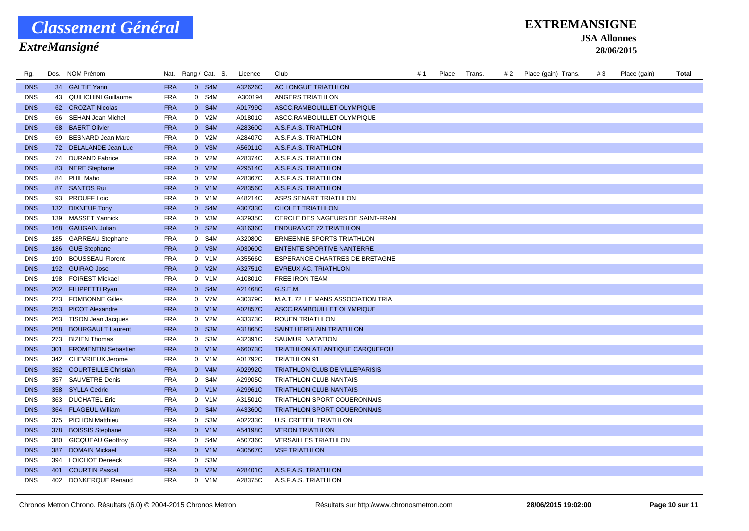### *ExtreMansigné*

#### **EXTREMANSIGNE**

**JSA Allonnes**

| Rg.        |     | Dos. NOM Prénom           |            | Nat. Rang / Cat. S. | Licence | Club                                  | #1 | Place | Trans. | # 2 | Place (gain) Trans. | #3 | Place (gain) | Total |
|------------|-----|---------------------------|------------|---------------------|---------|---------------------------------------|----|-------|--------|-----|---------------------|----|--------------|-------|
| <b>DNS</b> |     | 34 GALTIE Yann            | <b>FRA</b> | 0 S4M               | A32626C | AC LONGUE TRIATHLON                   |    |       |        |     |                     |    |              |       |
| <b>DNS</b> |     | 43 QUILICHINI Guillaume   | <b>FRA</b> | 0 S4M               | A300194 | ANGERS TRIATHLON                      |    |       |        |     |                     |    |              |       |
| <b>DNS</b> |     | 62 CROZAT Nicolas         | <b>FRA</b> | 0 S4M               | A01799C | ASCC.RAMBOUILLET OLYMPIQUE            |    |       |        |     |                     |    |              |       |
| <b>DNS</b> |     | 66 SEHAN Jean Michel      | <b>FRA</b> | 0 V2M               | A01801C | ASCC.RAMBOUILLET OLYMPIQUE            |    |       |        |     |                     |    |              |       |
| <b>DNS</b> |     | 68 BAERT Olivier          | <b>FRA</b> | 0 S4M               | A28360C | A.S.F.A.S. TRIATHLON                  |    |       |        |     |                     |    |              |       |
| <b>DNS</b> |     | 69 BESNARD Jean Marc      | <b>FRA</b> | 0 V2M               | A28407C | A.S.F.A.S. TRIATHLON                  |    |       |        |     |                     |    |              |       |
| <b>DNS</b> |     | 72 DELALANDE Jean Luc     | <b>FRA</b> | 0 V3M               | A56011C | A.S.F.A.S. TRIATHLON                  |    |       |        |     |                     |    |              |       |
| <b>DNS</b> |     | 74 DURAND Fabrice         | <b>FRA</b> | 0 V2M               | A28374C | A.S.F.A.S. TRIATHLON                  |    |       |        |     |                     |    |              |       |
| <b>DNS</b> |     | 83 NERE Stephane          | <b>FRA</b> | 0 V2M               | A29514C | A.S.F.A.S. TRIATHLON                  |    |       |        |     |                     |    |              |       |
| <b>DNS</b> |     | 84 PHIL Maho              | <b>FRA</b> | 0 V2M               | A28367C | A.S.F.A.S. TRIATHLON                  |    |       |        |     |                     |    |              |       |
| <b>DNS</b> |     | 87 SANTOS Rui             | <b>FRA</b> | 0 V1M               | A28356C | A.S.F.A.S. TRIATHLON                  |    |       |        |     |                     |    |              |       |
| <b>DNS</b> |     | 93 PROUFF Loic            | <b>FRA</b> | 0 V1M               | A48214C | ASPS SENART TRIATHLON                 |    |       |        |     |                     |    |              |       |
| <b>DNS</b> |     | 132 DIXNEUF Tony          | <b>FRA</b> | 0 S4M               | A30733C | <b>CHOLET TRIATHLON</b>               |    |       |        |     |                     |    |              |       |
| <b>DNS</b> |     | 139 MASSET Yannick        | <b>FRA</b> | 0 V3M               | A32935C | CERCLE DES NAGEURS DE SAINT-FRAN      |    |       |        |     |                     |    |              |       |
| <b>DNS</b> |     | 168 GAUGAIN Julian        | <b>FRA</b> | 0 S2M               | A31636C | <b>ENDURANCE 72 TRIATHLON</b>         |    |       |        |     |                     |    |              |       |
| <b>DNS</b> |     | 185 GARREAU Stephane      | <b>FRA</b> | 0 S4M               | A32080C | ERNEENNE SPORTS TRIATHLON             |    |       |        |     |                     |    |              |       |
| <b>DNS</b> |     | 186 GUE Stephane          | <b>FRA</b> | 0 V3M               | A03060C | <b>ENTENTE SPORTIVE NANTERRE</b>      |    |       |        |     |                     |    |              |       |
| <b>DNS</b> | 190 | <b>BOUSSEAU Florent</b>   | <b>FRA</b> | 0 V1M               | A35566C | ESPERANCE CHARTRES DE BRETAGNE        |    |       |        |     |                     |    |              |       |
| <b>DNS</b> |     | 192 GUIRAO Jose           | <b>FRA</b> | $0$ V2M             | A32751C | EVREUX AC. TRIATHLON                  |    |       |        |     |                     |    |              |       |
| <b>DNS</b> |     | 198 FOIREST Mickael       | <b>FRA</b> | 0 V1M               | A10801C | FREE IRON TEAM                        |    |       |        |     |                     |    |              |       |
| <b>DNS</b> |     | 202 FILIPPETTI Ryan       | <b>FRA</b> | 0 S4M               | A21468C | G.S.E.M.                              |    |       |        |     |                     |    |              |       |
| <b>DNS</b> |     | 223 FOMBONNE Gilles       | <b>FRA</b> | 0 V7M               | A30379C | M.A.T. 72 LE MANS ASSOCIATION TRIA    |    |       |        |     |                     |    |              |       |
| <b>DNS</b> |     | 253 PICOT Alexandre       | <b>FRA</b> | 0 V1M               | A02857C | ASCC.RAMBOUILLET OLYMPIQUE            |    |       |        |     |                     |    |              |       |
| <b>DNS</b> | 263 | <b>TISON Jean Jacques</b> | <b>FRA</b> | 0 V2M               | A33373C | <b>ROUEN TRIATHLON</b>                |    |       |        |     |                     |    |              |       |
| <b>DNS</b> |     | 268 BOURGAULT Laurent     | <b>FRA</b> | 0 S3M               | A31865C | SAINT HERBLAIN TRIATHLON              |    |       |        |     |                     |    |              |       |
| <b>DNS</b> |     | 273 BIZIEN Thomas         | <b>FRA</b> | 0 S3M               | A32391C | SAUMUR NATATION                       |    |       |        |     |                     |    |              |       |
| <b>DNS</b> |     | 301 FROMENTIN Sebastien   | <b>FRA</b> | 0 V1M               | A66073C | <b>TRIATHLON ATLANTIQUE CARQUEFOU</b> |    |       |        |     |                     |    |              |       |
| <b>DNS</b> |     | 342 CHEVRIEUX Jerome      | <b>FRA</b> | 0 V1M               | A01792C | TRIATHLON 91                          |    |       |        |     |                     |    |              |       |
| <b>DNS</b> |     | 352 COURTEILLE Christian  | <b>FRA</b> | 0 V4M               | A02992C | TRIATHLON CLUB DE VILLEPARISIS        |    |       |        |     |                     |    |              |       |
| <b>DNS</b> | 357 | <b>SAUVETRE Denis</b>     | <b>FRA</b> | 0 S4M               | A29905C | TRIATHLON CLUB NANTAIS                |    |       |        |     |                     |    |              |       |
| <b>DNS</b> |     | 358 SYLLA Cedric          | <b>FRA</b> | 0 V1M               | A29961C | <b>TRIATHLON CLUB NANTAIS</b>         |    |       |        |     |                     |    |              |       |
| <b>DNS</b> |     | 363 DUCHATEL Eric         | <b>FRA</b> | 0 V1M               | A31501C | TRIATHLON SPORT COUERONNAIS           |    |       |        |     |                     |    |              |       |
| <b>DNS</b> |     | 364 FLAGEUL William       | <b>FRA</b> | 0 S4M               | A43360C | <b>TRIATHLON SPORT COUERONNAIS</b>    |    |       |        |     |                     |    |              |       |
| <b>DNS</b> |     | 375 PICHON Matthieu       | <b>FRA</b> | 0 S3M               | A02233C | U.S. CRETEIL TRIATHLON                |    |       |        |     |                     |    |              |       |
| <b>DNS</b> |     | 378 BOISSIS Stephane      | <b>FRA</b> | 0 V1M               | A54198C | <b>VERON TRIATHLON</b>                |    |       |        |     |                     |    |              |       |
| <b>DNS</b> | 380 | <b>GICQUEAU Geoffroy</b>  | <b>FRA</b> | 0 S4M               | A50736C | <b>VERSAILLES TRIATHLON</b>           |    |       |        |     |                     |    |              |       |
| <b>DNS</b> | 387 | <b>DOMAIN Mickael</b>     | <b>FRA</b> | 0 V1M               | A30567C | <b>VSF TRIATHLON</b>                  |    |       |        |     |                     |    |              |       |
| <b>DNS</b> |     | 394 LOICHOT Dereeck       | <b>FRA</b> | 0 S3M               |         |                                       |    |       |        |     |                     |    |              |       |
| <b>DNS</b> |     | 401 COURTIN Pascal        | <b>FRA</b> | $0$ V2M             | A28401C | A.S.F.A.S. TRIATHLON                  |    |       |        |     |                     |    |              |       |
| <b>DNS</b> |     | 402 DONKERQUE Renaud      | <b>FRA</b> | 0 V1M               | A28375C | A.S.F.A.S. TRIATHLON                  |    |       |        |     |                     |    |              |       |